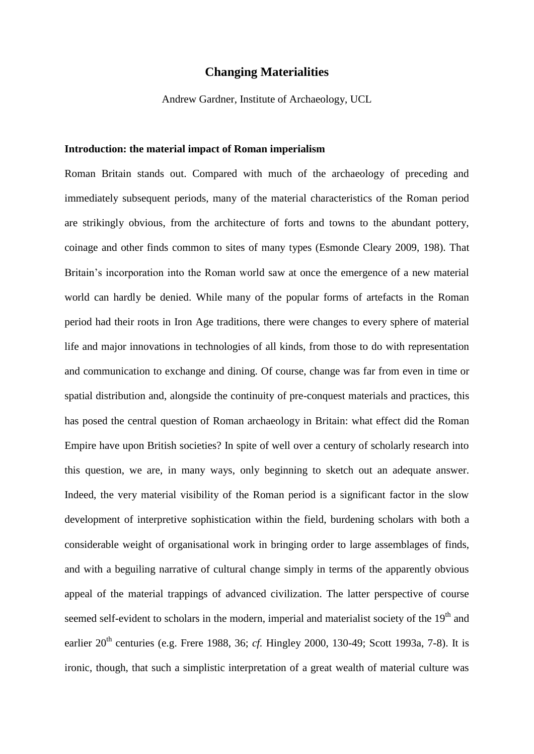## **Changing Materialities**

Andrew Gardner, Institute of Archaeology, UCL

#### **Introduction: the material impact of Roman imperialism**

Roman Britain stands out. Compared with much of the archaeology of preceding and immediately subsequent periods, many of the material characteristics of the Roman period are strikingly obvious, from the architecture of forts and towns to the abundant pottery, coinage and other finds common to sites of many types (Esmonde Cleary 2009, 198). That Britain's incorporation into the Roman world saw at once the emergence of a new material world can hardly be denied. While many of the popular forms of artefacts in the Roman period had their roots in Iron Age traditions, there were changes to every sphere of material life and major innovations in technologies of all kinds, from those to do with representation and communication to exchange and dining. Of course, change was far from even in time or spatial distribution and, alongside the continuity of pre-conquest materials and practices, this has posed the central question of Roman archaeology in Britain: what effect did the Roman Empire have upon British societies? In spite of well over a century of scholarly research into this question, we are, in many ways, only beginning to sketch out an adequate answer. Indeed, the very material visibility of the Roman period is a significant factor in the slow development of interpretive sophistication within the field, burdening scholars with both a considerable weight of organisational work in bringing order to large assemblages of finds, and with a beguiling narrative of cultural change simply in terms of the apparently obvious appeal of the material trappings of advanced civilization. The latter perspective of course seemed self-evident to scholars in the modern, imperial and materialist society of the 19<sup>th</sup> and earlier 20<sup>th</sup> centuries (e.g. Frere 1988, 36; *cf.* Hingley 2000, 130-49; Scott 1993a, 7-8). It is ironic, though, that such a simplistic interpretation of a great wealth of material culture was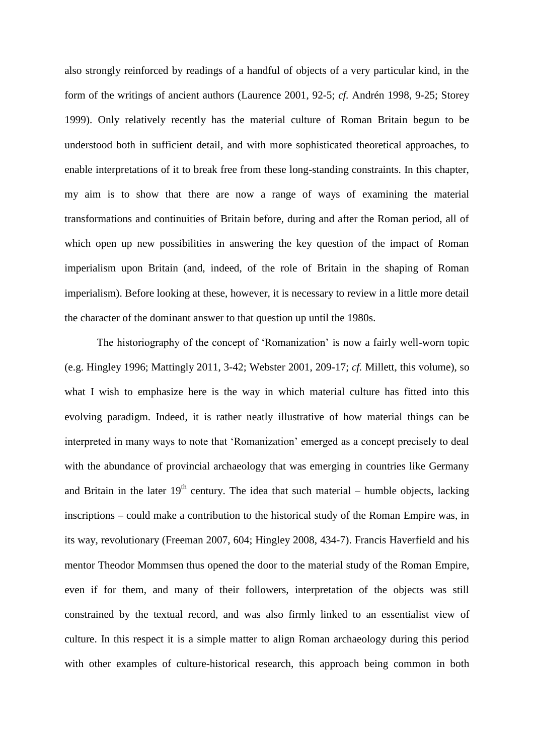also strongly reinforced by readings of a handful of objects of a very particular kind, in the form of the writings of ancient authors (Laurence 2001, 92-5; *cf.* Andrén 1998, 9-25; Storey 1999). Only relatively recently has the material culture of Roman Britain begun to be understood both in sufficient detail, and with more sophisticated theoretical approaches, to enable interpretations of it to break free from these long-standing constraints. In this chapter, my aim is to show that there are now a range of ways of examining the material transformations and continuities of Britain before, during and after the Roman period, all of which open up new possibilities in answering the key question of the impact of Roman imperialism upon Britain (and, indeed, of the role of Britain in the shaping of Roman imperialism). Before looking at these, however, it is necessary to review in a little more detail the character of the dominant answer to that question up until the 1980s.

The historiography of the concept of 'Romanization' is now a fairly well-worn topic (e.g. Hingley 1996; Mattingly 2011, 3-42; Webster 2001, 209-17; *cf.* Millett, this volume), so what I wish to emphasize here is the way in which material culture has fitted into this evolving paradigm. Indeed, it is rather neatly illustrative of how material things can be interpreted in many ways to note that 'Romanization' emerged as a concept precisely to deal with the abundance of provincial archaeology that was emerging in countries like Germany and Britain in the later  $19<sup>th</sup>$  century. The idea that such material – humble objects, lacking inscriptions – could make a contribution to the historical study of the Roman Empire was, in its way, revolutionary (Freeman 2007, 604; Hingley 2008, 434-7). Francis Haverfield and his mentor Theodor Mommsen thus opened the door to the material study of the Roman Empire, even if for them, and many of their followers, interpretation of the objects was still constrained by the textual record, and was also firmly linked to an essentialist view of culture. In this respect it is a simple matter to align Roman archaeology during this period with other examples of culture-historical research, this approach being common in both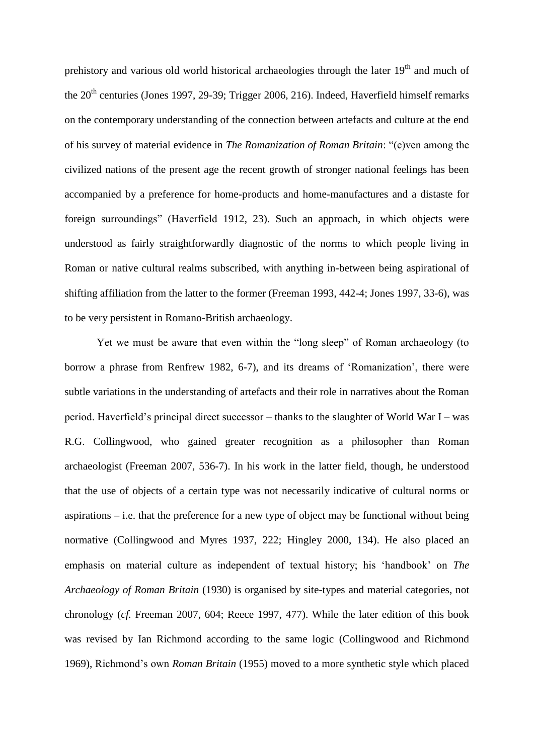prehistory and various old world historical archaeologies through the later  $19<sup>th</sup>$  and much of the  $20<sup>th</sup>$  centuries (Jones 1997, 29-39; Trigger 2006, 216). Indeed, Haverfield himself remarks on the contemporary understanding of the connection between artefacts and culture at the end of his survey of material evidence in *The Romanization of Roman Britain*: "(e)ven among the civilized nations of the present age the recent growth of stronger national feelings has been accompanied by a preference for home-products and home-manufactures and a distaste for foreign surroundings" (Haverfield 1912, 23). Such an approach, in which objects were understood as fairly straightforwardly diagnostic of the norms to which people living in Roman or native cultural realms subscribed, with anything in-between being aspirational of shifting affiliation from the latter to the former (Freeman 1993, 442-4; Jones 1997, 33-6), was to be very persistent in Romano-British archaeology.

Yet we must be aware that even within the "long sleep" of Roman archaeology (to borrow a phrase from Renfrew 1982, 6-7), and its dreams of 'Romanization', there were subtle variations in the understanding of artefacts and their role in narratives about the Roman period. Haverfield's principal direct successor – thanks to the slaughter of World War I – was R.G. Collingwood, who gained greater recognition as a philosopher than Roman archaeologist (Freeman 2007, 536-7). In his work in the latter field, though, he understood that the use of objects of a certain type was not necessarily indicative of cultural norms or aspirations  $-$  i.e. that the preference for a new type of object may be functional without being normative (Collingwood and Myres 1937, 222; Hingley 2000, 134). He also placed an emphasis on material culture as independent of textual history; his 'handbook' on *The Archaeology of Roman Britain* (1930) is organised by site-types and material categories, not chronology (*cf.* Freeman 2007, 604; Reece 1997, 477). While the later edition of this book was revised by Ian Richmond according to the same logic (Collingwood and Richmond 1969), Richmond's own *Roman Britain* (1955) moved to a more synthetic style which placed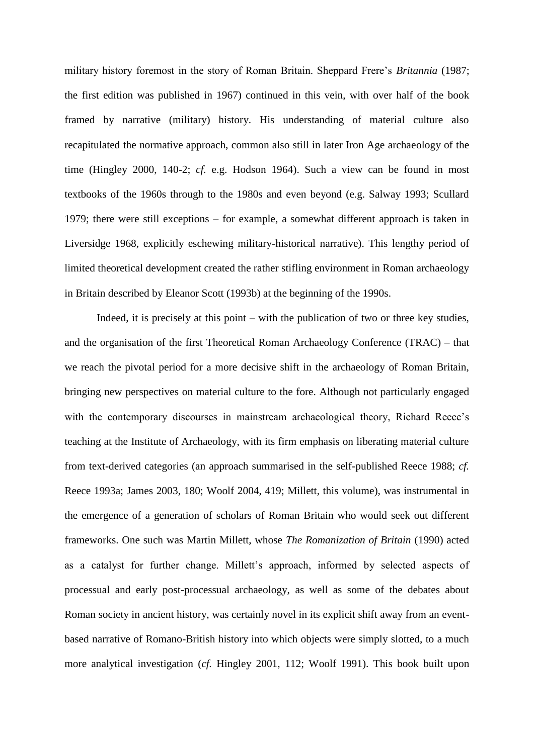military history foremost in the story of Roman Britain. Sheppard Frere's *Britannia* (1987; the first edition was published in 1967) continued in this vein, with over half of the book framed by narrative (military) history. His understanding of material culture also recapitulated the normative approach, common also still in later Iron Age archaeology of the time (Hingley 2000, 140-2; *cf.* e.g. Hodson 1964). Such a view can be found in most textbooks of the 1960s through to the 1980s and even beyond (e.g. Salway 1993; Scullard 1979; there were still exceptions – for example, a somewhat different approach is taken in Liversidge 1968, explicitly eschewing military-historical narrative). This lengthy period of limited theoretical development created the rather stifling environment in Roman archaeology in Britain described by Eleanor Scott (1993b) at the beginning of the 1990s.

Indeed, it is precisely at this point – with the publication of two or three key studies, and the organisation of the first Theoretical Roman Archaeology Conference (TRAC) – that we reach the pivotal period for a more decisive shift in the archaeology of Roman Britain, bringing new perspectives on material culture to the fore. Although not particularly engaged with the contemporary discourses in mainstream archaeological theory, Richard Reece's teaching at the Institute of Archaeology, with its firm emphasis on liberating material culture from text-derived categories (an approach summarised in the self-published Reece 1988; *cf.* Reece 1993a; James 2003, 180; Woolf 2004, 419; Millett, this volume), was instrumental in the emergence of a generation of scholars of Roman Britain who would seek out different frameworks. One such was Martin Millett, whose *The Romanization of Britain* (1990) acted as a catalyst for further change. Millett's approach, informed by selected aspects of processual and early post-processual archaeology, as well as some of the debates about Roman society in ancient history, was certainly novel in its explicit shift away from an eventbased narrative of Romano-British history into which objects were simply slotted, to a much more analytical investigation (*cf.* Hingley 2001, 112; Woolf 1991). This book built upon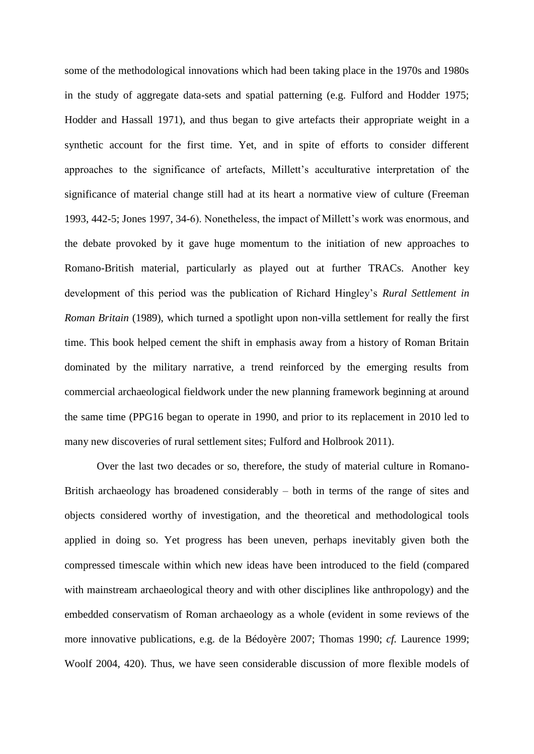some of the methodological innovations which had been taking place in the 1970s and 1980s in the study of aggregate data-sets and spatial patterning (e.g. Fulford and Hodder 1975; Hodder and Hassall 1971), and thus began to give artefacts their appropriate weight in a synthetic account for the first time. Yet, and in spite of efforts to consider different approaches to the significance of artefacts, Millett's acculturative interpretation of the significance of material change still had at its heart a normative view of culture (Freeman 1993, 442-5; Jones 1997, 34-6). Nonetheless, the impact of Millett's work was enormous, and the debate provoked by it gave huge momentum to the initiation of new approaches to Romano-British material, particularly as played out at further TRACs. Another key development of this period was the publication of Richard Hingley's *Rural Settlement in Roman Britain* (1989), which turned a spotlight upon non-villa settlement for really the first time. This book helped cement the shift in emphasis away from a history of Roman Britain dominated by the military narrative, a trend reinforced by the emerging results from commercial archaeological fieldwork under the new planning framework beginning at around the same time (PPG16 began to operate in 1990, and prior to its replacement in 2010 led to many new discoveries of rural settlement sites; Fulford and Holbrook 2011).

Over the last two decades or so, therefore, the study of material culture in Romano-British archaeology has broadened considerably – both in terms of the range of sites and objects considered worthy of investigation, and the theoretical and methodological tools applied in doing so. Yet progress has been uneven, perhaps inevitably given both the compressed timescale within which new ideas have been introduced to the field (compared with mainstream archaeological theory and with other disciplines like anthropology) and the embedded conservatism of Roman archaeology as a whole (evident in some reviews of the more innovative publications, e.g. de la Bédoyère 2007; Thomas 1990; *cf.* Laurence 1999; Woolf 2004, 420). Thus, we have seen considerable discussion of more flexible models of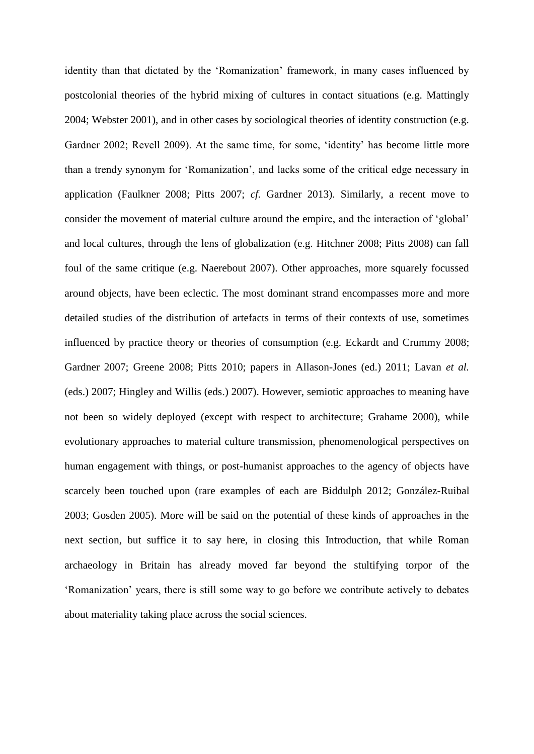identity than that dictated by the 'Romanization' framework, in many cases influenced by postcolonial theories of the hybrid mixing of cultures in contact situations (e.g. Mattingly 2004; Webster 2001), and in other cases by sociological theories of identity construction (e.g. Gardner 2002; Revell 2009). At the same time, for some, 'identity' has become little more than a trendy synonym for 'Romanization', and lacks some of the critical edge necessary in application (Faulkner 2008; Pitts 2007; *cf.* Gardner 2013). Similarly, a recent move to consider the movement of material culture around the empire, and the interaction of 'global' and local cultures, through the lens of globalization (e.g. Hitchner 2008; Pitts 2008) can fall foul of the same critique (e.g. Naerebout 2007). Other approaches, more squarely focussed around objects, have been eclectic. The most dominant strand encompasses more and more detailed studies of the distribution of artefacts in terms of their contexts of use, sometimes influenced by practice theory or theories of consumption (e.g. Eckardt and Crummy 2008; Gardner 2007; Greene 2008; Pitts 2010; papers in Allason-Jones (ed.) 2011; Lavan *et al.* (eds.) 2007; Hingley and Willis (eds.) 2007). However, semiotic approaches to meaning have not been so widely deployed (except with respect to architecture; Grahame 2000), while evolutionary approaches to material culture transmission, phenomenological perspectives on human engagement with things, or post-humanist approaches to the agency of objects have scarcely been touched upon (rare examples of each are Biddulph 2012; González-Ruibal 2003; Gosden 2005). More will be said on the potential of these kinds of approaches in the next section, but suffice it to say here, in closing this Introduction, that while Roman archaeology in Britain has already moved far beyond the stultifying torpor of the 'Romanization' years, there is still some way to go before we contribute actively to debates about materiality taking place across the social sciences.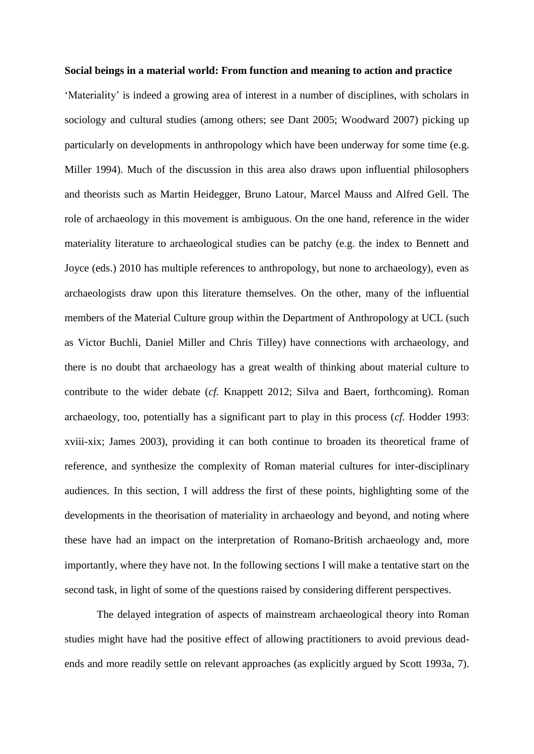#### **Social beings in a material world: From function and meaning to action and practice**

'Materiality' is indeed a growing area of interest in a number of disciplines, with scholars in sociology and cultural studies (among others; see Dant 2005; Woodward 2007) picking up particularly on developments in anthropology which have been underway for some time (e.g. Miller 1994). Much of the discussion in this area also draws upon influential philosophers and theorists such as Martin Heidegger, Bruno Latour, Marcel Mauss and Alfred Gell. The role of archaeology in this movement is ambiguous. On the one hand, reference in the wider materiality literature to archaeological studies can be patchy (e.g. the index to Bennett and Joyce (eds.) 2010 has multiple references to anthropology, but none to archaeology), even as archaeologists draw upon this literature themselves. On the other, many of the influential members of the Material Culture group within the Department of Anthropology at UCL (such as Victor Buchli, Daniel Miller and Chris Tilley) have connections with archaeology, and there is no doubt that archaeology has a great wealth of thinking about material culture to contribute to the wider debate (*cf.* Knappett 2012; Silva and Baert, forthcoming). Roman archaeology, too, potentially has a significant part to play in this process (*cf.* Hodder 1993: xviii-xix; James 2003), providing it can both continue to broaden its theoretical frame of reference, and synthesize the complexity of Roman material cultures for inter-disciplinary audiences. In this section, I will address the first of these points, highlighting some of the developments in the theorisation of materiality in archaeology and beyond, and noting where these have had an impact on the interpretation of Romano-British archaeology and, more importantly, where they have not. In the following sections I will make a tentative start on the second task, in light of some of the questions raised by considering different perspectives.

The delayed integration of aspects of mainstream archaeological theory into Roman studies might have had the positive effect of allowing practitioners to avoid previous deadends and more readily settle on relevant approaches (as explicitly argued by Scott 1993a, 7).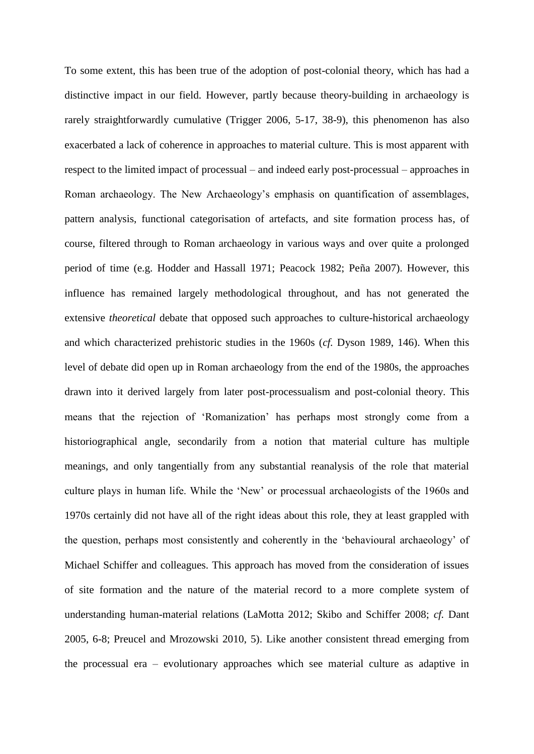To some extent, this has been true of the adoption of post-colonial theory, which has had a distinctive impact in our field. However, partly because theory-building in archaeology is rarely straightforwardly cumulative (Trigger 2006, 5-17, 38-9), this phenomenon has also exacerbated a lack of coherence in approaches to material culture. This is most apparent with respect to the limited impact of processual – and indeed early post-processual – approaches in Roman archaeology. The New Archaeology's emphasis on quantification of assemblages, pattern analysis, functional categorisation of artefacts, and site formation process has, of course, filtered through to Roman archaeology in various ways and over quite a prolonged period of time (e.g. Hodder and Hassall 1971; Peacock 1982; Peña 2007). However, this influence has remained largely methodological throughout, and has not generated the extensive *theoretical* debate that opposed such approaches to culture-historical archaeology and which characterized prehistoric studies in the 1960s (*cf.* Dyson 1989, 146). When this level of debate did open up in Roman archaeology from the end of the 1980s, the approaches drawn into it derived largely from later post-processualism and post-colonial theory. This means that the rejection of 'Romanization' has perhaps most strongly come from a historiographical angle, secondarily from a notion that material culture has multiple meanings, and only tangentially from any substantial reanalysis of the role that material culture plays in human life. While the 'New' or processual archaeologists of the 1960s and 1970s certainly did not have all of the right ideas about this role, they at least grappled with the question, perhaps most consistently and coherently in the 'behavioural archaeology' of Michael Schiffer and colleagues. This approach has moved from the consideration of issues of site formation and the nature of the material record to a more complete system of understanding human-material relations (LaMotta 2012; Skibo and Schiffer 2008; *cf.* Dant 2005, 6-8; Preucel and Mrozowski 2010, 5). Like another consistent thread emerging from the processual era – evolutionary approaches which see material culture as adaptive in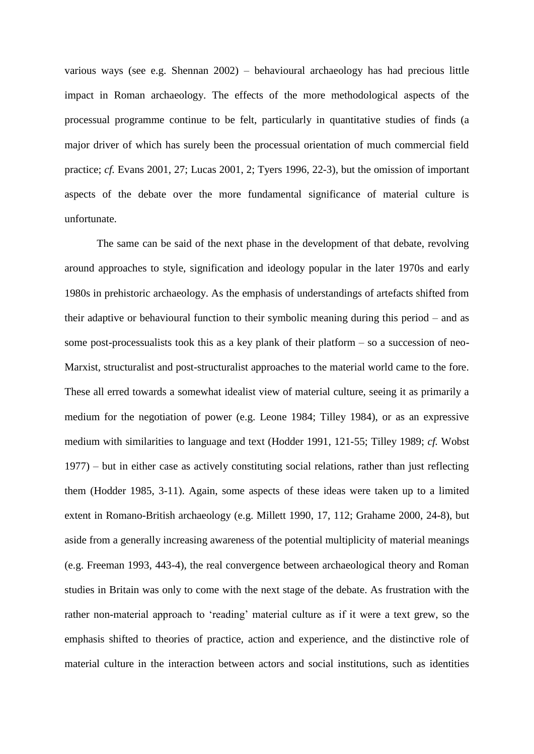various ways (see e.g. Shennan 2002) – behavioural archaeology has had precious little impact in Roman archaeology. The effects of the more methodological aspects of the processual programme continue to be felt, particularly in quantitative studies of finds (a major driver of which has surely been the processual orientation of much commercial field practice; *cf.* Evans 2001, 27; Lucas 2001, 2; Tyers 1996, 22-3), but the omission of important aspects of the debate over the more fundamental significance of material culture is unfortunate.

The same can be said of the next phase in the development of that debate, revolving around approaches to style, signification and ideology popular in the later 1970s and early 1980s in prehistoric archaeology. As the emphasis of understandings of artefacts shifted from their adaptive or behavioural function to their symbolic meaning during this period – and as some post-processualists took this as a key plank of their platform – so a succession of neo-Marxist, structuralist and post-structuralist approaches to the material world came to the fore. These all erred towards a somewhat idealist view of material culture, seeing it as primarily a medium for the negotiation of power (e.g. Leone 1984; Tilley 1984), or as an expressive medium with similarities to language and text (Hodder 1991, 121-55; Tilley 1989; *cf.* Wobst 1977) – but in either case as actively constituting social relations, rather than just reflecting them (Hodder 1985, 3-11). Again, some aspects of these ideas were taken up to a limited extent in Romano-British archaeology (e.g. Millett 1990, 17, 112; Grahame 2000, 24-8), but aside from a generally increasing awareness of the potential multiplicity of material meanings (e.g. Freeman 1993, 443-4), the real convergence between archaeological theory and Roman studies in Britain was only to come with the next stage of the debate. As frustration with the rather non-material approach to 'reading' material culture as if it were a text grew, so the emphasis shifted to theories of practice, action and experience, and the distinctive role of material culture in the interaction between actors and social institutions, such as identities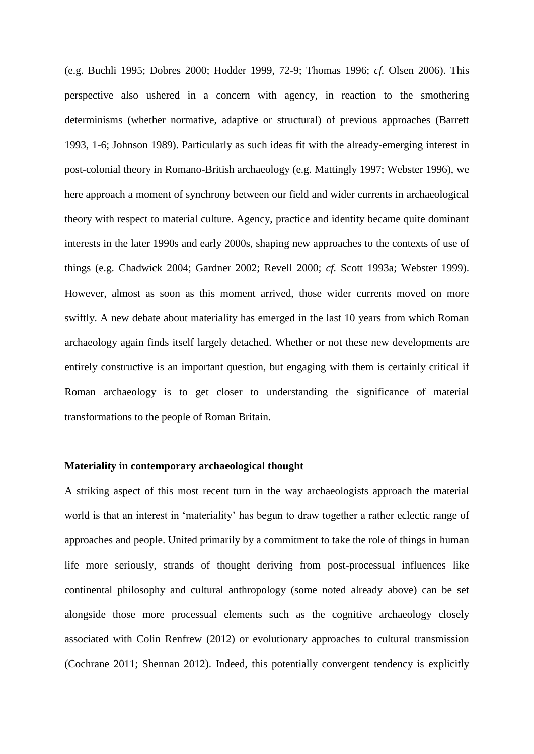(e.g. Buchli 1995; Dobres 2000; Hodder 1999, 72-9; Thomas 1996; *cf.* Olsen 2006). This perspective also ushered in a concern with agency, in reaction to the smothering determinisms (whether normative, adaptive or structural) of previous approaches (Barrett 1993, 1-6; Johnson 1989). Particularly as such ideas fit with the already-emerging interest in post-colonial theory in Romano-British archaeology (e.g. Mattingly 1997; Webster 1996), we here approach a moment of synchrony between our field and wider currents in archaeological theory with respect to material culture. Agency, practice and identity became quite dominant interests in the later 1990s and early 2000s, shaping new approaches to the contexts of use of things (e.g. Chadwick 2004; Gardner 2002; Revell 2000; *cf.* Scott 1993a; Webster 1999). However, almost as soon as this moment arrived, those wider currents moved on more swiftly. A new debate about materiality has emerged in the last 10 years from which Roman archaeology again finds itself largely detached. Whether or not these new developments are entirely constructive is an important question, but engaging with them is certainly critical if Roman archaeology is to get closer to understanding the significance of material transformations to the people of Roman Britain.

## **Materiality in contemporary archaeological thought**

A striking aspect of this most recent turn in the way archaeologists approach the material world is that an interest in 'materiality' has begun to draw together a rather eclectic range of approaches and people. United primarily by a commitment to take the role of things in human life more seriously, strands of thought deriving from post-processual influences like continental philosophy and cultural anthropology (some noted already above) can be set alongside those more processual elements such as the cognitive archaeology closely associated with Colin Renfrew (2012) or evolutionary approaches to cultural transmission (Cochrane 2011; Shennan 2012). Indeed, this potentially convergent tendency is explicitly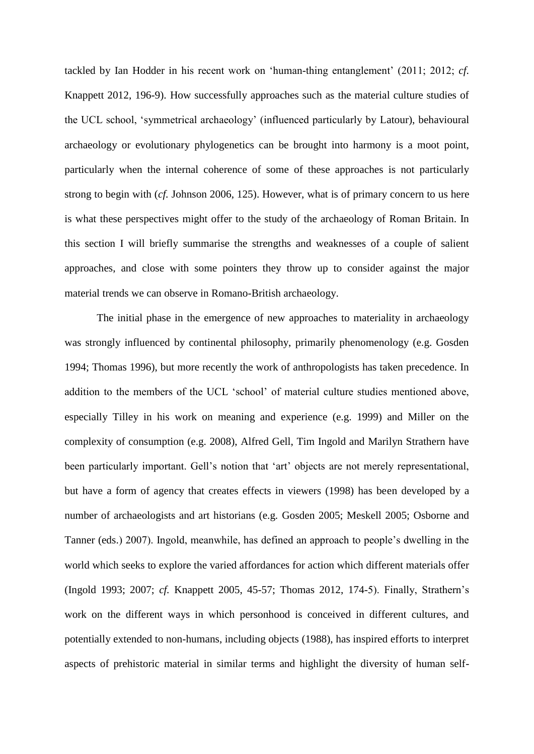tackled by Ian Hodder in his recent work on 'human-thing entanglement' (2011; 2012; *cf.* Knappett 2012, 196-9). How successfully approaches such as the material culture studies of the UCL school, 'symmetrical archaeology' (influenced particularly by Latour), behavioural archaeology or evolutionary phylogenetics can be brought into harmony is a moot point, particularly when the internal coherence of some of these approaches is not particularly strong to begin with (*cf.* Johnson 2006, 125). However, what is of primary concern to us here is what these perspectives might offer to the study of the archaeology of Roman Britain. In this section I will briefly summarise the strengths and weaknesses of a couple of salient approaches, and close with some pointers they throw up to consider against the major material trends we can observe in Romano-British archaeology.

The initial phase in the emergence of new approaches to materiality in archaeology was strongly influenced by continental philosophy, primarily phenomenology (e.g. Gosden 1994; Thomas 1996), but more recently the work of anthropologists has taken precedence. In addition to the members of the UCL 'school' of material culture studies mentioned above, especially Tilley in his work on meaning and experience (e.g. 1999) and Miller on the complexity of consumption (e.g. 2008), Alfred Gell, Tim Ingold and Marilyn Strathern have been particularly important. Gell's notion that 'art' objects are not merely representational, but have a form of agency that creates effects in viewers (1998) has been developed by a number of archaeologists and art historians (e.g. Gosden 2005; Meskell 2005; Osborne and Tanner (eds.) 2007). Ingold, meanwhile, has defined an approach to people's dwelling in the world which seeks to explore the varied affordances for action which different materials offer (Ingold 1993; 2007; *cf.* Knappett 2005, 45-57; Thomas 2012, 174-5). Finally, Strathern's work on the different ways in which personhood is conceived in different cultures, and potentially extended to non-humans, including objects (1988), has inspired efforts to interpret aspects of prehistoric material in similar terms and highlight the diversity of human self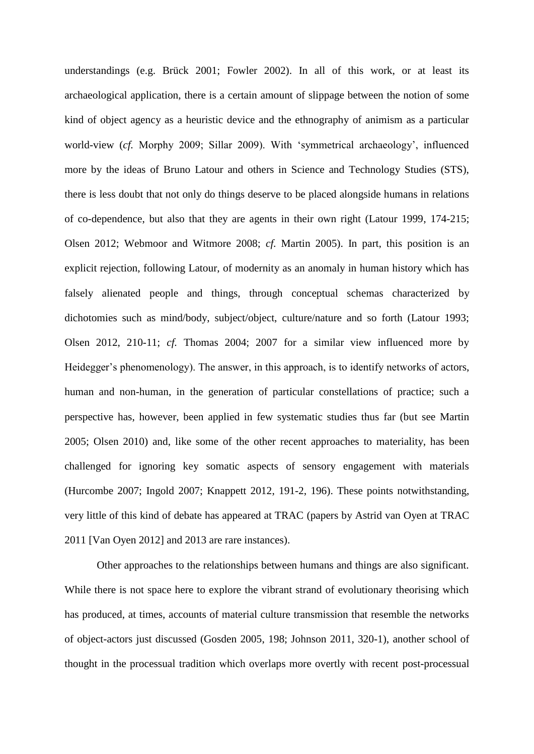understandings (e.g. Brück 2001; Fowler 2002). In all of this work, or at least its archaeological application, there is a certain amount of slippage between the notion of some kind of object agency as a heuristic device and the ethnography of animism as a particular world-view (*cf.* Morphy 2009; Sillar 2009). With 'symmetrical archaeology', influenced more by the ideas of Bruno Latour and others in Science and Technology Studies (STS), there is less doubt that not only do things deserve to be placed alongside humans in relations of co-dependence, but also that they are agents in their own right (Latour 1999, 174-215; Olsen 2012; Webmoor and Witmore 2008; *cf.* Martin 2005). In part, this position is an explicit rejection, following Latour, of modernity as an anomaly in human history which has falsely alienated people and things, through conceptual schemas characterized by dichotomies such as mind/body, subject/object, culture/nature and so forth (Latour 1993; Olsen 2012, 210-11; *cf.* Thomas 2004; 2007 for a similar view influenced more by Heidegger's phenomenology). The answer, in this approach, is to identify networks of actors, human and non-human, in the generation of particular constellations of practice; such a perspective has, however, been applied in few systematic studies thus far (but see Martin 2005; Olsen 2010) and, like some of the other recent approaches to materiality, has been challenged for ignoring key somatic aspects of sensory engagement with materials (Hurcombe 2007; Ingold 2007; Knappett 2012, 191-2, 196). These points notwithstanding, very little of this kind of debate has appeared at TRAC (papers by Astrid van Oyen at TRAC 2011 [Van Oyen 2012] and 2013 are rare instances).

Other approaches to the relationships between humans and things are also significant. While there is not space here to explore the vibrant strand of evolutionary theorising which has produced, at times, accounts of material culture transmission that resemble the networks of object-actors just discussed (Gosden 2005, 198; Johnson 2011, 320-1), another school of thought in the processual tradition which overlaps more overtly with recent post-processual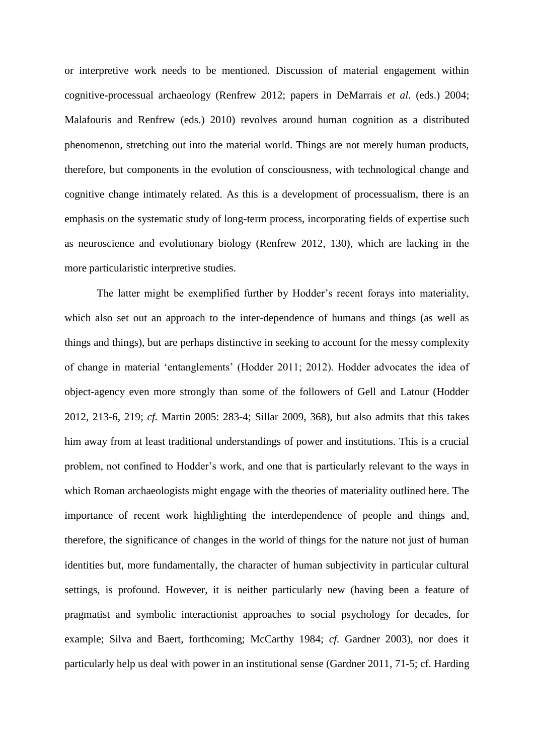or interpretive work needs to be mentioned. Discussion of material engagement within cognitive-processual archaeology (Renfrew 2012; papers in DeMarrais *et al.* (eds.) 2004; Malafouris and Renfrew (eds.) 2010) revolves around human cognition as a distributed phenomenon, stretching out into the material world. Things are not merely human products, therefore, but components in the evolution of consciousness, with technological change and cognitive change intimately related. As this is a development of processualism, there is an emphasis on the systematic study of long-term process, incorporating fields of expertise such as neuroscience and evolutionary biology (Renfrew 2012, 130), which are lacking in the more particularistic interpretive studies.

The latter might be exemplified further by Hodder's recent forays into materiality, which also set out an approach to the inter-dependence of humans and things (as well as things and things), but are perhaps distinctive in seeking to account for the messy complexity of change in material 'entanglements' (Hodder 2011; 2012). Hodder advocates the idea of object-agency even more strongly than some of the followers of Gell and Latour (Hodder 2012, 213-6, 219; *cf.* Martin 2005: 283-4; Sillar 2009, 368), but also admits that this takes him away from at least traditional understandings of power and institutions. This is a crucial problem, not confined to Hodder's work, and one that is particularly relevant to the ways in which Roman archaeologists might engage with the theories of materiality outlined here. The importance of recent work highlighting the interdependence of people and things and, therefore, the significance of changes in the world of things for the nature not just of human identities but, more fundamentally, the character of human subjectivity in particular cultural settings, is profound. However, it is neither particularly new (having been a feature of pragmatist and symbolic interactionist approaches to social psychology for decades, for example; Silva and Baert, forthcoming; McCarthy 1984; *cf.* Gardner 2003), nor does it particularly help us deal with power in an institutional sense (Gardner 2011, 71-5; cf. Harding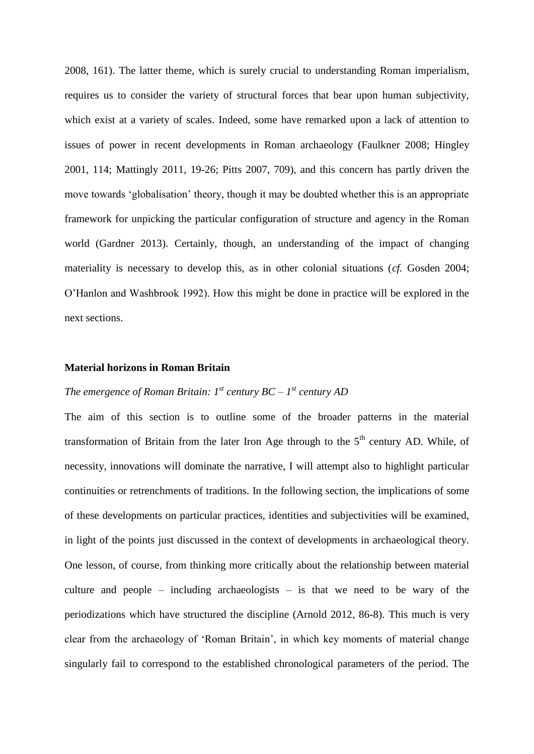2008, 161). The latter theme, which is surely crucial to understanding Roman imperialism, requires us to consider the variety of structural forces that bear upon human subjectivity, which exist at a variety of scales. Indeed, some have remarked upon a lack of attention to issues of power in recent developments in Roman archaeology (Faulkner 2008; Hingley 2001, 114; Mattingly 2011, 19-26; Pitts 2007, 709), and this concern has partly driven the move towards 'globalisation' theory, though it may be doubted whether this is an appropriate framework for unpicking the particular configuration of structure and agency in the Roman world (Gardner 2013). Certainly, though, an understanding of the impact of changing materiality is necessary to develop this, as in other colonial situations (*cf.* Gosden 2004; O'Hanlon and Washbrook 1992). How this might be done in practice will be explored in the next sections.

### **Material horizons in Roman Britain**

# *The emergence of Roman Britain: 1st century BC – 1 st century AD*

The aim of this section is to outline some of the broader patterns in the material transformation of Britain from the later Iron Age through to the  $5<sup>th</sup>$  century AD. While, of necessity, innovations will dominate the narrative, I will attempt also to highlight particular continuities or retrenchments of traditions. In the following section, the implications of some of these developments on particular practices, identities and subjectivities will be examined, in light of the points just discussed in the context of developments in archaeological theory. One lesson, of course, from thinking more critically about the relationship between material culture and people – including archaeologists – is that we need to be wary of the periodizations which have structured the discipline (Arnold 2012, 86-8). This much is very clear from the archaeology of 'Roman Britain', in which key moments of material change singularly fail to correspond to the established chronological parameters of the period. The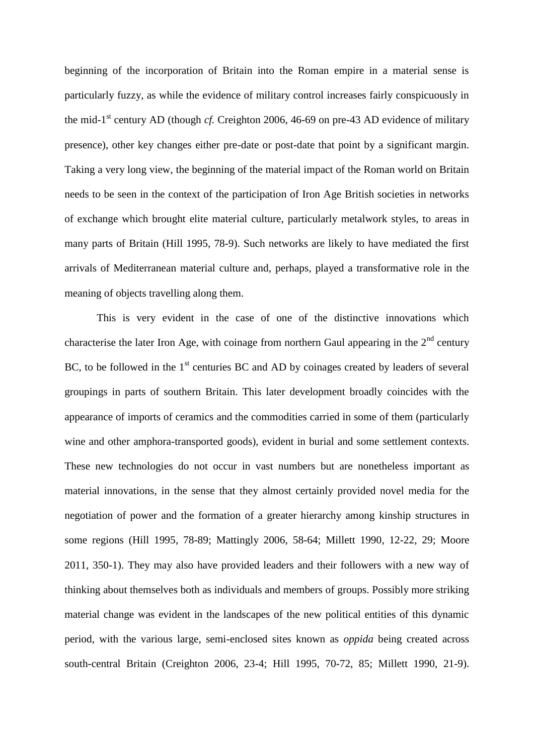beginning of the incorporation of Britain into the Roman empire in a material sense is particularly fuzzy, as while the evidence of military control increases fairly conspicuously in the mid-1 st century AD (though *cf.* Creighton 2006, 46-69 on pre-43 AD evidence of military presence), other key changes either pre-date or post-date that point by a significant margin. Taking a very long view, the beginning of the material impact of the Roman world on Britain needs to be seen in the context of the participation of Iron Age British societies in networks of exchange which brought elite material culture, particularly metalwork styles, to areas in many parts of Britain (Hill 1995, 78-9). Such networks are likely to have mediated the first arrivals of Mediterranean material culture and, perhaps, played a transformative role in the meaning of objects travelling along them.

This is very evident in the case of one of the distinctive innovations which characterise the later Iron Age, with coinage from northern Gaul appearing in the  $2<sup>nd</sup>$  century BC, to be followed in the  $1<sup>st</sup>$  centuries BC and AD by coinages created by leaders of several groupings in parts of southern Britain. This later development broadly coincides with the appearance of imports of ceramics and the commodities carried in some of them (particularly wine and other amphora-transported goods), evident in burial and some settlement contexts. These new technologies do not occur in vast numbers but are nonetheless important as material innovations, in the sense that they almost certainly provided novel media for the negotiation of power and the formation of a greater hierarchy among kinship structures in some regions (Hill 1995, 78-89; Mattingly 2006, 58-64; Millett 1990, 12-22, 29; Moore 2011, 350-1). They may also have provided leaders and their followers with a new way of thinking about themselves both as individuals and members of groups. Possibly more striking material change was evident in the landscapes of the new political entities of this dynamic period, with the various large, semi-enclosed sites known as *oppida* being created across south-central Britain (Creighton 2006, 23-4; Hill 1995, 70-72, 85; Millett 1990, 21-9).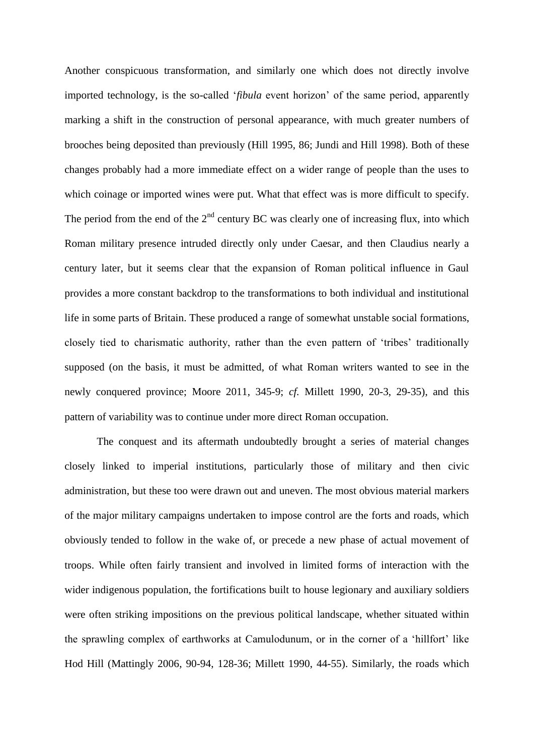Another conspicuous transformation, and similarly one which does not directly involve imported technology, is the so-called '*fibula* event horizon' of the same period, apparently marking a shift in the construction of personal appearance, with much greater numbers of brooches being deposited than previously (Hill 1995, 86; Jundi and Hill 1998). Both of these changes probably had a more immediate effect on a wider range of people than the uses to which coinage or imported wines were put. What that effect was is more difficult to specify. The period from the end of the  $2<sup>nd</sup>$  century BC was clearly one of increasing flux, into which Roman military presence intruded directly only under Caesar, and then Claudius nearly a century later, but it seems clear that the expansion of Roman political influence in Gaul provides a more constant backdrop to the transformations to both individual and institutional life in some parts of Britain. These produced a range of somewhat unstable social formations, closely tied to charismatic authority, rather than the even pattern of 'tribes' traditionally supposed (on the basis, it must be admitted, of what Roman writers wanted to see in the newly conquered province; Moore 2011, 345-9; *cf.* Millett 1990, 20-3, 29-35), and this pattern of variability was to continue under more direct Roman occupation.

The conquest and its aftermath undoubtedly brought a series of material changes closely linked to imperial institutions, particularly those of military and then civic administration, but these too were drawn out and uneven. The most obvious material markers of the major military campaigns undertaken to impose control are the forts and roads, which obviously tended to follow in the wake of, or precede a new phase of actual movement of troops. While often fairly transient and involved in limited forms of interaction with the wider indigenous population, the fortifications built to house legionary and auxiliary soldiers were often striking impositions on the previous political landscape, whether situated within the sprawling complex of earthworks at Camulodunum, or in the corner of a 'hillfort' like Hod Hill (Mattingly 2006, 90-94, 128-36; Millett 1990, 44-55). Similarly, the roads which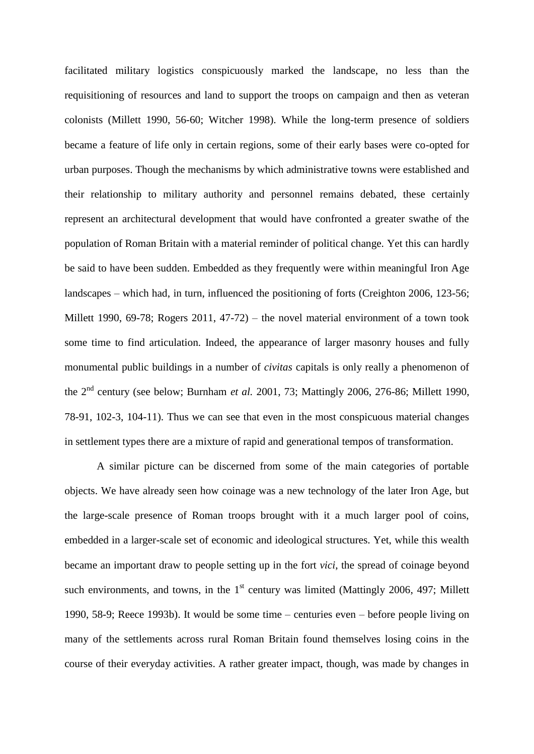facilitated military logistics conspicuously marked the landscape, no less than the requisitioning of resources and land to support the troops on campaign and then as veteran colonists (Millett 1990, 56-60; Witcher 1998). While the long-term presence of soldiers became a feature of life only in certain regions, some of their early bases were co-opted for urban purposes. Though the mechanisms by which administrative towns were established and their relationship to military authority and personnel remains debated, these certainly represent an architectural development that would have confronted a greater swathe of the population of Roman Britain with a material reminder of political change. Yet this can hardly be said to have been sudden. Embedded as they frequently were within meaningful Iron Age landscapes – which had, in turn, influenced the positioning of forts (Creighton 2006, 123-56; Millett 1990, 69-78; Rogers 2011, 47-72) – the novel material environment of a town took some time to find articulation. Indeed, the appearance of larger masonry houses and fully monumental public buildings in a number of *civitas* capitals is only really a phenomenon of the 2nd century (see below; Burnham *et al.* 2001, 73; Mattingly 2006, 276-86; Millett 1990, 78-91, 102-3, 104-11). Thus we can see that even in the most conspicuous material changes in settlement types there are a mixture of rapid and generational tempos of transformation.

A similar picture can be discerned from some of the main categories of portable objects. We have already seen how coinage was a new technology of the later Iron Age, but the large-scale presence of Roman troops brought with it a much larger pool of coins, embedded in a larger-scale set of economic and ideological structures. Yet, while this wealth became an important draw to people setting up in the fort *vici*, the spread of coinage beyond such environments, and towns, in the  $1<sup>st</sup>$  century was limited (Mattingly 2006, 497; Millett 1990, 58-9; Reece 1993b). It would be some time – centuries even – before people living on many of the settlements across rural Roman Britain found themselves losing coins in the course of their everyday activities. A rather greater impact, though, was made by changes in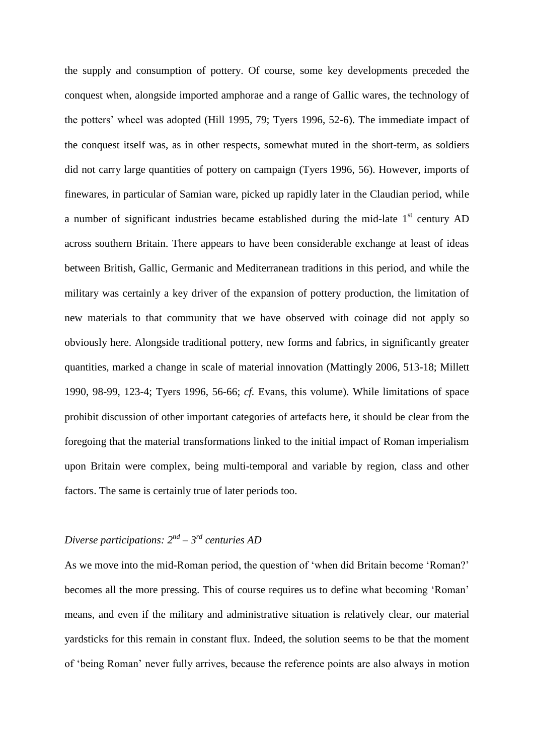the supply and consumption of pottery. Of course, some key developments preceded the conquest when, alongside imported amphorae and a range of Gallic wares, the technology of the potters' wheel was adopted (Hill 1995, 79; Tyers 1996, 52-6). The immediate impact of the conquest itself was, as in other respects, somewhat muted in the short-term, as soldiers did not carry large quantities of pottery on campaign (Tyers 1996, 56). However, imports of finewares, in particular of Samian ware, picked up rapidly later in the Claudian period, while a number of significant industries became established during the mid-late  $1<sup>st</sup>$  century AD across southern Britain. There appears to have been considerable exchange at least of ideas between British, Gallic, Germanic and Mediterranean traditions in this period, and while the military was certainly a key driver of the expansion of pottery production, the limitation of new materials to that community that we have observed with coinage did not apply so obviously here. Alongside traditional pottery, new forms and fabrics, in significantly greater quantities, marked a change in scale of material innovation (Mattingly 2006, 513-18; Millett 1990, 98-99, 123-4; Tyers 1996, 56-66; *cf.* Evans, this volume). While limitations of space prohibit discussion of other important categories of artefacts here, it should be clear from the foregoing that the material transformations linked to the initial impact of Roman imperialism upon Britain were complex, being multi-temporal and variable by region, class and other factors. The same is certainly true of later periods too.

# *Diverse participations: 2nd – 3 rd centuries AD*

As we move into the mid-Roman period, the question of 'when did Britain become 'Roman?' becomes all the more pressing. This of course requires us to define what becoming 'Roman' means, and even if the military and administrative situation is relatively clear, our material yardsticks for this remain in constant flux. Indeed, the solution seems to be that the moment of 'being Roman' never fully arrives, because the reference points are also always in motion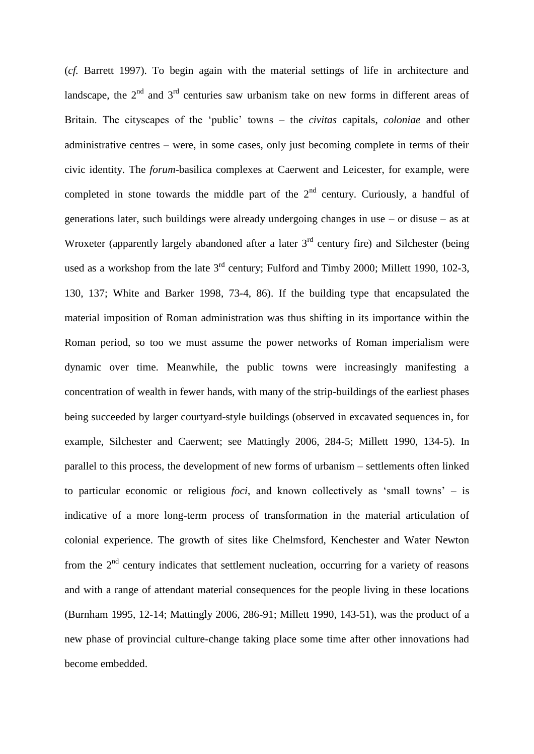(*cf.* Barrett 1997). To begin again with the material settings of life in architecture and landscape, the  $2<sup>nd</sup>$  and  $3<sup>rd</sup>$  centuries saw urbanism take on new forms in different areas of Britain. The cityscapes of the 'public' towns – the *civitas* capitals, *coloniae* and other administrative centres – were, in some cases, only just becoming complete in terms of their civic identity. The *forum*-basilica complexes at Caerwent and Leicester, for example, were completed in stone towards the middle part of the  $2<sup>nd</sup>$  century. Curiously, a handful of generations later, such buildings were already undergoing changes in use – or disuse – as at Wroxeter (apparently largely abandoned after a later  $3<sup>rd</sup>$  century fire) and Silchester (being used as a workshop from the late  $3<sup>rd</sup>$  century; Fulford and Timby 2000; Millett 1990, 102-3, 130, 137; White and Barker 1998, 73-4, 86). If the building type that encapsulated the material imposition of Roman administration was thus shifting in its importance within the Roman period, so too we must assume the power networks of Roman imperialism were dynamic over time. Meanwhile, the public towns were increasingly manifesting a concentration of wealth in fewer hands, with many of the strip-buildings of the earliest phases being succeeded by larger courtyard-style buildings (observed in excavated sequences in, for example, Silchester and Caerwent; see Mattingly 2006, 284-5; Millett 1990, 134-5). In parallel to this process, the development of new forms of urbanism – settlements often linked to particular economic or religious *foci*, and known collectively as 'small towns' – is indicative of a more long-term process of transformation in the material articulation of colonial experience. The growth of sites like Chelmsford, Kenchester and Water Newton from the  $2<sup>nd</sup>$  century indicates that settlement nucleation, occurring for a variety of reasons and with a range of attendant material consequences for the people living in these locations (Burnham 1995, 12-14; Mattingly 2006, 286-91; Millett 1990, 143-51), was the product of a new phase of provincial culture-change taking place some time after other innovations had become embedded.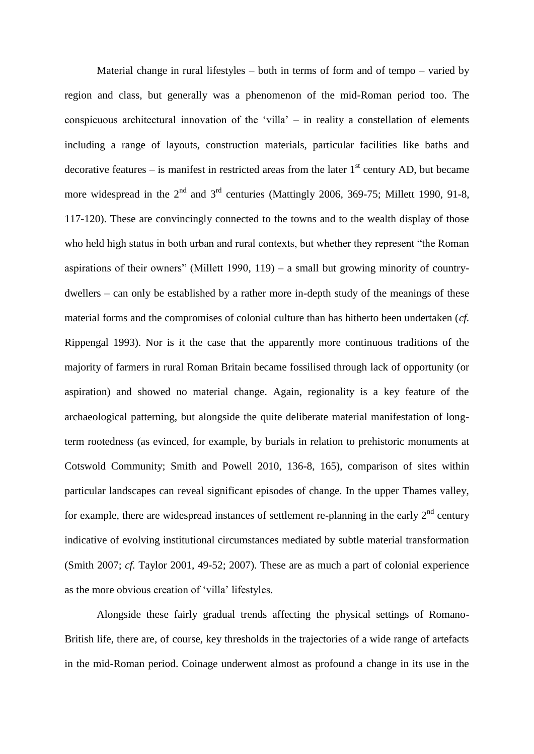Material change in rural lifestyles – both in terms of form and of tempo – varied by region and class, but generally was a phenomenon of the mid-Roman period too. The conspicuous architectural innovation of the 'villa' – in reality a constellation of elements including a range of layouts, construction materials, particular facilities like baths and decorative features – is manifest in restricted areas from the later  $1<sup>st</sup>$  century AD, but became more widespread in the  $2<sup>nd</sup>$  and  $3<sup>rd</sup>$  centuries (Mattingly 2006, 369-75; Millett 1990, 91-8, 117-120). These are convincingly connected to the towns and to the wealth display of those who held high status in both urban and rural contexts, but whether they represent "the Roman aspirations of their owners" (Millett 1990, 119) – a small but growing minority of countrydwellers – can only be established by a rather more in-depth study of the meanings of these material forms and the compromises of colonial culture than has hitherto been undertaken (*cf.* Rippengal 1993). Nor is it the case that the apparently more continuous traditions of the majority of farmers in rural Roman Britain became fossilised through lack of opportunity (or aspiration) and showed no material change. Again, regionality is a key feature of the archaeological patterning, but alongside the quite deliberate material manifestation of longterm rootedness (as evinced, for example, by burials in relation to prehistoric monuments at Cotswold Community; Smith and Powell 2010, 136-8, 165), comparison of sites within particular landscapes can reveal significant episodes of change. In the upper Thames valley, for example, there are widespread instances of settlement re-planning in the early  $2<sup>nd</sup>$  century indicative of evolving institutional circumstances mediated by subtle material transformation (Smith 2007; *cf.* Taylor 2001, 49-52; 2007). These are as much a part of colonial experience as the more obvious creation of 'villa' lifestyles.

Alongside these fairly gradual trends affecting the physical settings of Romano-British life, there are, of course, key thresholds in the trajectories of a wide range of artefacts in the mid-Roman period. Coinage underwent almost as profound a change in its use in the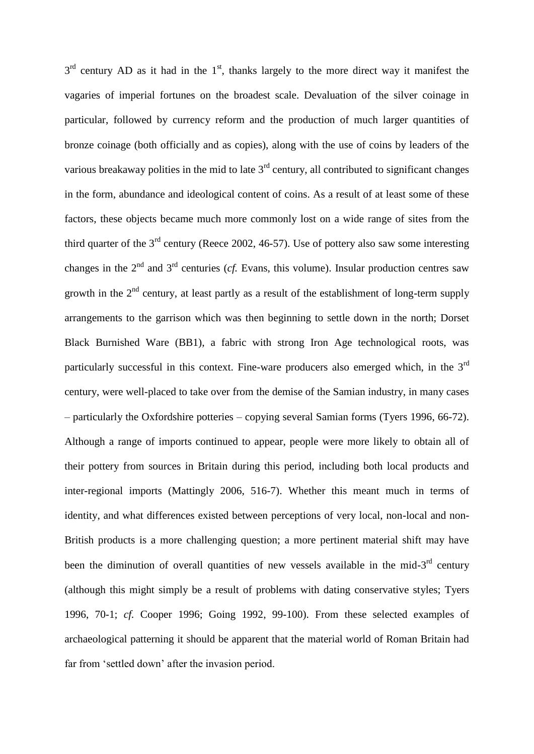$3<sup>rd</sup>$  century AD as it had in the 1<sup>st</sup>, thanks largely to the more direct way it manifest the vagaries of imperial fortunes on the broadest scale. Devaluation of the silver coinage in particular, followed by currency reform and the production of much larger quantities of bronze coinage (both officially and as copies), along with the use of coins by leaders of the various breakaway polities in the mid to late  $3<sup>rd</sup>$  century, all contributed to significant changes in the form, abundance and ideological content of coins. As a result of at least some of these factors, these objects became much more commonly lost on a wide range of sites from the third quarter of the  $3<sup>rd</sup>$  century (Reece 2002, 46-57). Use of pottery also saw some interesting changes in the  $2<sup>nd</sup>$  and  $3<sup>rd</sup>$  centuries (*cf.* Evans, this volume). Insular production centres saw growth in the  $2<sup>nd</sup>$  century, at least partly as a result of the establishment of long-term supply arrangements to the garrison which was then beginning to settle down in the north; Dorset Black Burnished Ware (BB1), a fabric with strong Iron Age technological roots, was particularly successful in this context. Fine-ware producers also emerged which, in the  $3<sup>rd</sup>$ century, were well-placed to take over from the demise of the Samian industry, in many cases – particularly the Oxfordshire potteries – copying several Samian forms (Tyers 1996, 66-72). Although a range of imports continued to appear, people were more likely to obtain all of their pottery from sources in Britain during this period, including both local products and inter-regional imports (Mattingly 2006, 516-7). Whether this meant much in terms of identity, and what differences existed between perceptions of very local, non-local and non-British products is a more challenging question; a more pertinent material shift may have been the diminution of overall quantities of new vessels available in the mid- $3<sup>rd</sup>$  century (although this might simply be a result of problems with dating conservative styles; Tyers 1996, 70-1; *cf.* Cooper 1996; Going 1992, 99-100). From these selected examples of archaeological patterning it should be apparent that the material world of Roman Britain had far from 'settled down' after the invasion period.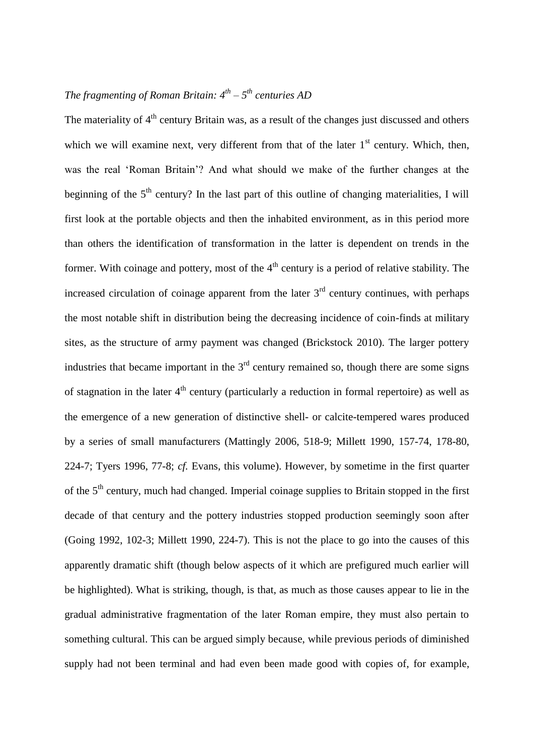## *The fragmenting of Roman Britain: 4th – 5 th centuries AD*

The materiality of  $4<sup>th</sup>$  century Britain was, as a result of the changes just discussed and others which we will examine next, very different from that of the later  $1<sup>st</sup>$  century. Which, then, was the real 'Roman Britain'? And what should we make of the further changes at the beginning of the  $5<sup>th</sup>$  century? In the last part of this outline of changing materialities, I will first look at the portable objects and then the inhabited environment, as in this period more than others the identification of transformation in the latter is dependent on trends in the former. With coinage and pottery, most of the  $4<sup>th</sup>$  century is a period of relative stability. The increased circulation of coinage apparent from the later  $3<sup>rd</sup>$  century continues, with perhaps the most notable shift in distribution being the decreasing incidence of coin-finds at military sites, as the structure of army payment was changed (Brickstock 2010). The larger pottery industries that became important in the  $3<sup>rd</sup>$  century remained so, though there are some signs of stagnation in the later  $4<sup>th</sup>$  century (particularly a reduction in formal repertoire) as well as the emergence of a new generation of distinctive shell- or calcite-tempered wares produced by a series of small manufacturers (Mattingly 2006, 518-9; Millett 1990, 157-74, 178-80, 224-7; Tyers 1996, 77-8; *cf.* Evans, this volume). However, by sometime in the first quarter of the 5<sup>th</sup> century, much had changed. Imperial coinage supplies to Britain stopped in the first decade of that century and the pottery industries stopped production seemingly soon after (Going 1992, 102-3; Millett 1990, 224-7). This is not the place to go into the causes of this apparently dramatic shift (though below aspects of it which are prefigured much earlier will be highlighted). What is striking, though, is that, as much as those causes appear to lie in the gradual administrative fragmentation of the later Roman empire, they must also pertain to something cultural. This can be argued simply because, while previous periods of diminished supply had not been terminal and had even been made good with copies of, for example,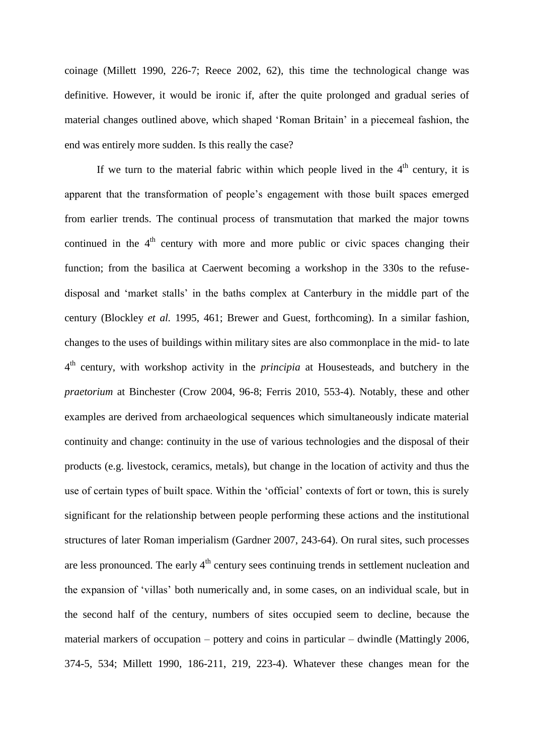coinage (Millett 1990, 226-7; Reece 2002, 62), this time the technological change was definitive. However, it would be ironic if, after the quite prolonged and gradual series of material changes outlined above, which shaped 'Roman Britain' in a piecemeal fashion, the end was entirely more sudden. Is this really the case?

If we turn to the material fabric within which people lived in the  $4<sup>th</sup>$  century, it is apparent that the transformation of people's engagement with those built spaces emerged from earlier trends. The continual process of transmutation that marked the major towns continued in the  $4<sup>th</sup>$  century with more and more public or civic spaces changing their function; from the basilica at Caerwent becoming a workshop in the 330s to the refusedisposal and 'market stalls' in the baths complex at Canterbury in the middle part of the century (Blockley *et al.* 1995, 461; Brewer and Guest, forthcoming). In a similar fashion, changes to the uses of buildings within military sites are also commonplace in the mid- to late 4 th century, with workshop activity in the *principia* at Housesteads, and butchery in the *praetorium* at Binchester (Crow 2004, 96-8; Ferris 2010, 553-4). Notably, these and other examples are derived from archaeological sequences which simultaneously indicate material continuity and change: continuity in the use of various technologies and the disposal of their products (e.g. livestock, ceramics, metals), but change in the location of activity and thus the use of certain types of built space. Within the 'official' contexts of fort or town, this is surely significant for the relationship between people performing these actions and the institutional structures of later Roman imperialism (Gardner 2007, 243-64). On rural sites, such processes are less pronounced. The early  $4<sup>th</sup>$  century sees continuing trends in settlement nucleation and the expansion of 'villas' both numerically and, in some cases, on an individual scale, but in the second half of the century, numbers of sites occupied seem to decline, because the material markers of occupation – pottery and coins in particular – dwindle (Mattingly 2006, 374-5, 534; Millett 1990, 186-211, 219, 223-4). Whatever these changes mean for the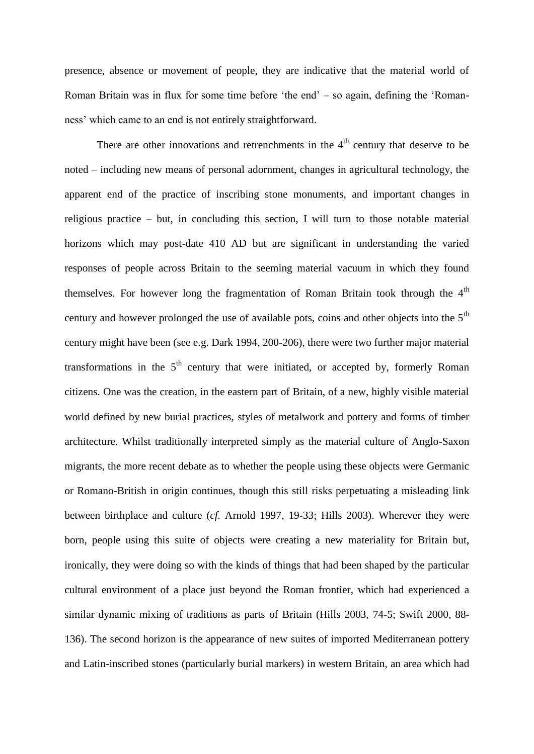presence, absence or movement of people, they are indicative that the material world of Roman Britain was in flux for some time before 'the end' – so again, defining the 'Romanness' which came to an end is not entirely straightforward.

There are other innovations and retrenchments in the  $4<sup>th</sup>$  century that deserve to be noted – including new means of personal adornment, changes in agricultural technology, the apparent end of the practice of inscribing stone monuments, and important changes in religious practice – but, in concluding this section, I will turn to those notable material horizons which may post-date 410 AD but are significant in understanding the varied responses of people across Britain to the seeming material vacuum in which they found themselves. For however long the fragmentation of Roman Britain took through the  $4<sup>th</sup>$ century and however prolonged the use of available pots, coins and other objects into the 5<sup>th</sup> century might have been (see e.g. Dark 1994, 200-206), there were two further major material transformations in the  $5<sup>th</sup>$  century that were initiated, or accepted by, formerly Roman citizens. One was the creation, in the eastern part of Britain, of a new, highly visible material world defined by new burial practices, styles of metalwork and pottery and forms of timber architecture. Whilst traditionally interpreted simply as the material culture of Anglo-Saxon migrants, the more recent debate as to whether the people using these objects were Germanic or Romano-British in origin continues, though this still risks perpetuating a misleading link between birthplace and culture (*cf.* Arnold 1997, 19-33; Hills 2003). Wherever they were born, people using this suite of objects were creating a new materiality for Britain but, ironically, they were doing so with the kinds of things that had been shaped by the particular cultural environment of a place just beyond the Roman frontier, which had experienced a similar dynamic mixing of traditions as parts of Britain (Hills 2003, 74-5; Swift 2000, 88- 136). The second horizon is the appearance of new suites of imported Mediterranean pottery and Latin-inscribed stones (particularly burial markers) in western Britain, an area which had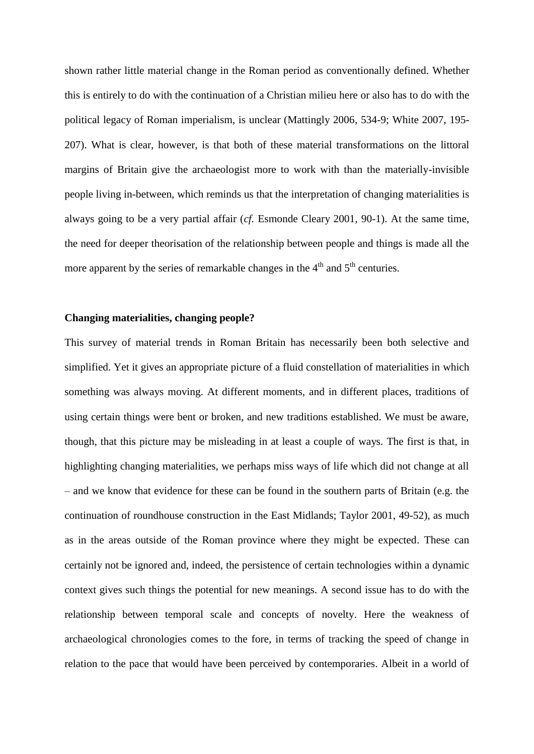shown rather little material change in the Roman period as conventionally defined. Whether this is entirely to do with the continuation of a Christian milieu here or also has to do with the political legacy of Roman imperialism, is unclear (Mattingly 2006, 534-9; White 2007, 195- 207). What is clear, however, is that both of these material transformations on the littoral margins of Britain give the archaeologist more to work with than the materially-invisible people living in-between, which reminds us that the interpretation of changing materialities is always going to be a very partial affair (*cf.* Esmonde Cleary 2001, 90-1). At the same time, the need for deeper theorisation of the relationship between people and things is made all the more apparent by the series of remarkable changes in the  $4<sup>th</sup>$  and  $5<sup>th</sup>$  centuries.

## **Changing materialities, changing people?**

This survey of material trends in Roman Britain has necessarily been both selective and simplified. Yet it gives an appropriate picture of a fluid constellation of materialities in which something was always moving. At different moments, and in different places, traditions of using certain things were bent or broken, and new traditions established. We must be aware, though, that this picture may be misleading in at least a couple of ways. The first is that, in highlighting changing materialities, we perhaps miss ways of life which did not change at all – and we know that evidence for these can be found in the southern parts of Britain (e.g. the continuation of roundhouse construction in the East Midlands; Taylor 2001, 49-52), as much as in the areas outside of the Roman province where they might be expected. These can certainly not be ignored and, indeed, the persistence of certain technologies within a dynamic context gives such things the potential for new meanings. A second issue has to do with the relationship between temporal scale and concepts of novelty. Here the weakness of archaeological chronologies comes to the fore, in terms of tracking the speed of change in relation to the pace that would have been perceived by contemporaries. Albeit in a world of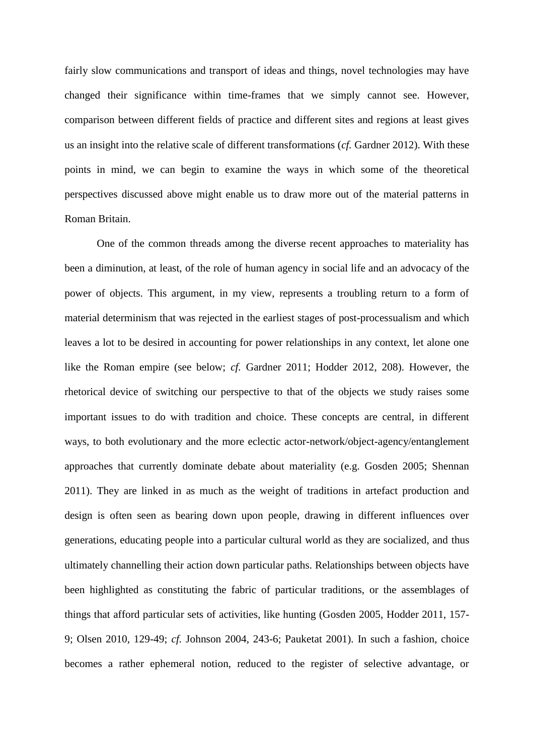fairly slow communications and transport of ideas and things, novel technologies may have changed their significance within time-frames that we simply cannot see. However, comparison between different fields of practice and different sites and regions at least gives us an insight into the relative scale of different transformations (*cf.* Gardner 2012). With these points in mind, we can begin to examine the ways in which some of the theoretical perspectives discussed above might enable us to draw more out of the material patterns in Roman Britain.

One of the common threads among the diverse recent approaches to materiality has been a diminution, at least, of the role of human agency in social life and an advocacy of the power of objects. This argument, in my view, represents a troubling return to a form of material determinism that was rejected in the earliest stages of post-processualism and which leaves a lot to be desired in accounting for power relationships in any context, let alone one like the Roman empire (see below; *cf.* Gardner 2011; Hodder 2012, 208). However, the rhetorical device of switching our perspective to that of the objects we study raises some important issues to do with tradition and choice. These concepts are central, in different ways, to both evolutionary and the more eclectic actor-network/object-agency/entanglement approaches that currently dominate debate about materiality (e.g. Gosden 2005; Shennan 2011). They are linked in as much as the weight of traditions in artefact production and design is often seen as bearing down upon people, drawing in different influences over generations, educating people into a particular cultural world as they are socialized, and thus ultimately channelling their action down particular paths. Relationships between objects have been highlighted as constituting the fabric of particular traditions, or the assemblages of things that afford particular sets of activities, like hunting (Gosden 2005, Hodder 2011, 157- 9; Olsen 2010, 129-49; *cf.* Johnson 2004, 243-6; Pauketat 2001). In such a fashion, choice becomes a rather ephemeral notion, reduced to the register of selective advantage, or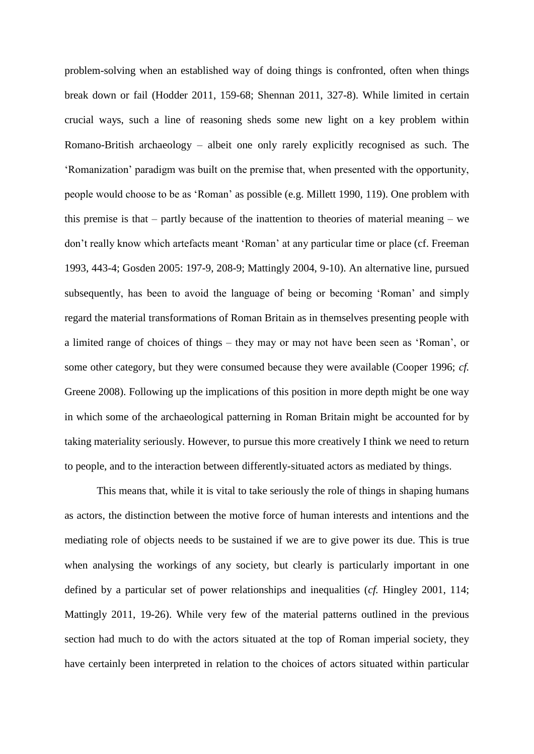problem-solving when an established way of doing things is confronted, often when things break down or fail (Hodder 2011, 159-68; Shennan 2011, 327-8). While limited in certain crucial ways, such a line of reasoning sheds some new light on a key problem within Romano-British archaeology – albeit one only rarely explicitly recognised as such. The 'Romanization' paradigm was built on the premise that, when presented with the opportunity, people would choose to be as 'Roman' as possible (e.g. Millett 1990, 119). One problem with this premise is that – partly because of the inattention to theories of material meaning – we don't really know which artefacts meant 'Roman' at any particular time or place (cf. Freeman 1993, 443-4; Gosden 2005: 197-9, 208-9; Mattingly 2004, 9-10). An alternative line, pursued subsequently, has been to avoid the language of being or becoming 'Roman' and simply regard the material transformations of Roman Britain as in themselves presenting people with a limited range of choices of things – they may or may not have been seen as 'Roman', or some other category, but they were consumed because they were available (Cooper 1996; *cf.*  Greene 2008). Following up the implications of this position in more depth might be one way in which some of the archaeological patterning in Roman Britain might be accounted for by taking materiality seriously. However, to pursue this more creatively I think we need to return to people, and to the interaction between differently-situated actors as mediated by things.

This means that, while it is vital to take seriously the role of things in shaping humans as actors, the distinction between the motive force of human interests and intentions and the mediating role of objects needs to be sustained if we are to give power its due. This is true when analysing the workings of any society, but clearly is particularly important in one defined by a particular set of power relationships and inequalities (*cf.* Hingley 2001, 114; Mattingly 2011, 19-26). While very few of the material patterns outlined in the previous section had much to do with the actors situated at the top of Roman imperial society, they have certainly been interpreted in relation to the choices of actors situated within particular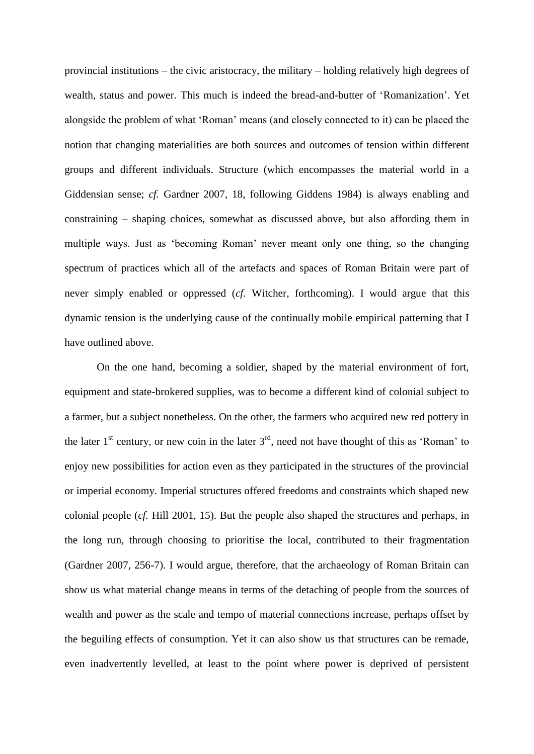provincial institutions – the civic aristocracy, the military – holding relatively high degrees of wealth, status and power. This much is indeed the bread-and-butter of 'Romanization'. Yet alongside the problem of what 'Roman' means (and closely connected to it) can be placed the notion that changing materialities are both sources and outcomes of tension within different groups and different individuals. Structure (which encompasses the material world in a Giddensian sense; *cf.* Gardner 2007, 18, following Giddens 1984) is always enabling and constraining – shaping choices, somewhat as discussed above, but also affording them in multiple ways. Just as 'becoming Roman' never meant only one thing, so the changing spectrum of practices which all of the artefacts and spaces of Roman Britain were part of never simply enabled or oppressed (*cf.* Witcher, forthcoming). I would argue that this dynamic tension is the underlying cause of the continually mobile empirical patterning that I have outlined above.

On the one hand, becoming a soldier, shaped by the material environment of fort, equipment and state-brokered supplies, was to become a different kind of colonial subject to a farmer, but a subject nonetheless. On the other, the farmers who acquired new red pottery in the later  $1<sup>st</sup>$  century, or new coin in the later  $3<sup>rd</sup>$ , need not have thought of this as 'Roman' to enjoy new possibilities for action even as they participated in the structures of the provincial or imperial economy. Imperial structures offered freedoms and constraints which shaped new colonial people (*cf.* Hill 2001, 15). But the people also shaped the structures and perhaps, in the long run, through choosing to prioritise the local, contributed to their fragmentation (Gardner 2007, 256-7). I would argue, therefore, that the archaeology of Roman Britain can show us what material change means in terms of the detaching of people from the sources of wealth and power as the scale and tempo of material connections increase, perhaps offset by the beguiling effects of consumption. Yet it can also show us that structures can be remade, even inadvertently levelled, at least to the point where power is deprived of persistent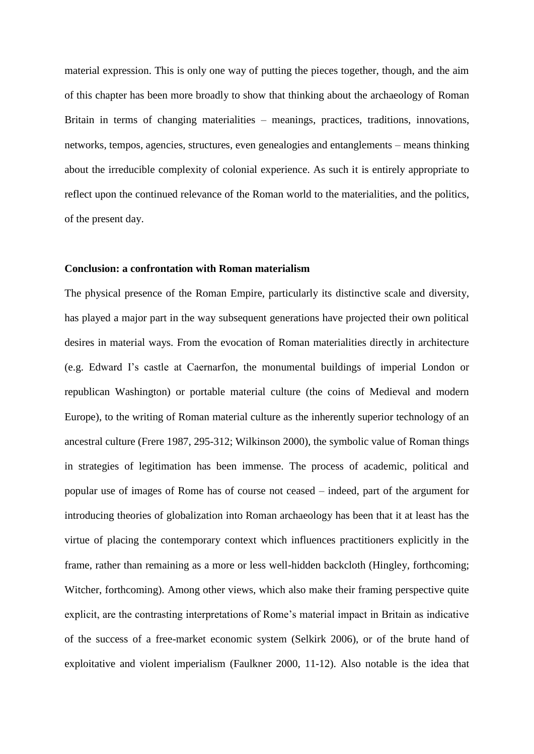material expression. This is only one way of putting the pieces together, though, and the aim of this chapter has been more broadly to show that thinking about the archaeology of Roman Britain in terms of changing materialities – meanings, practices, traditions, innovations, networks, tempos, agencies, structures, even genealogies and entanglements – means thinking about the irreducible complexity of colonial experience. As such it is entirely appropriate to reflect upon the continued relevance of the Roman world to the materialities, and the politics, of the present day.

### **Conclusion: a confrontation with Roman materialism**

The physical presence of the Roman Empire, particularly its distinctive scale and diversity, has played a major part in the way subsequent generations have projected their own political desires in material ways. From the evocation of Roman materialities directly in architecture (e.g. Edward I's castle at Caernarfon, the monumental buildings of imperial London or republican Washington) or portable material culture (the coins of Medieval and modern Europe), to the writing of Roman material culture as the inherently superior technology of an ancestral culture (Frere 1987, 295-312; Wilkinson 2000), the symbolic value of Roman things in strategies of legitimation has been immense. The process of academic, political and popular use of images of Rome has of course not ceased – indeed, part of the argument for introducing theories of globalization into Roman archaeology has been that it at least has the virtue of placing the contemporary context which influences practitioners explicitly in the frame, rather than remaining as a more or less well-hidden backcloth (Hingley, forthcoming; Witcher, forthcoming). Among other views, which also make their framing perspective quite explicit, are the contrasting interpretations of Rome's material impact in Britain as indicative of the success of a free-market economic system (Selkirk 2006), or of the brute hand of exploitative and violent imperialism (Faulkner 2000, 11-12). Also notable is the idea that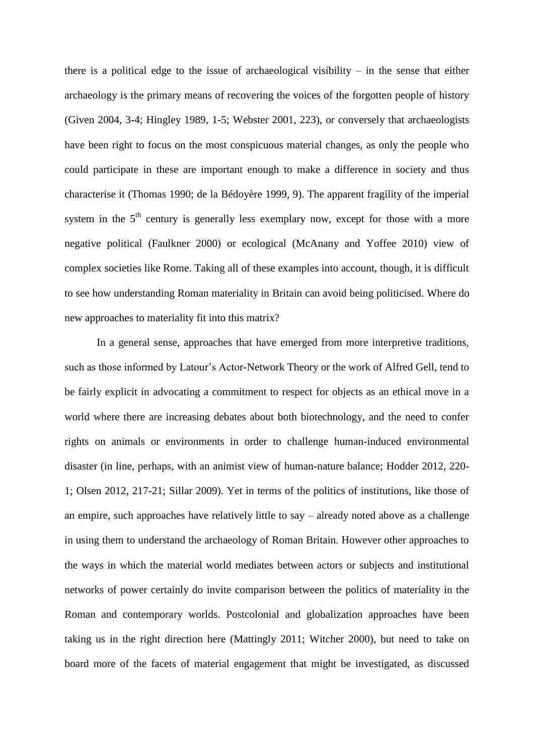there is a political edge to the issue of archaeological visibility – in the sense that either archaeology is the primary means of recovering the voices of the forgotten people of history (Given 2004, 3-4; Hingley 1989, 1-5; Webster 2001, 223), or conversely that archaeologists have been right to focus on the most conspicuous material changes, as only the people who could participate in these are important enough to make a difference in society and thus characterise it (Thomas 1990; de la Bédoyère 1999, 9). The apparent fragility of the imperial system in the  $5<sup>th</sup>$  century is generally less exemplary now, except for those with a more negative political (Faulkner 2000) or ecological (McAnany and Yoffee 2010) view of complex societies like Rome. Taking all of these examples into account, though, it is difficult to see how understanding Roman materiality in Britain can avoid being politicised. Where do new approaches to materiality fit into this matrix?

In a general sense, approaches that have emerged from more interpretive traditions, such as those informed by Latour's Actor-Network Theory or the work of Alfred Gell, tend to be fairly explicit in advocating a commitment to respect for objects as an ethical move in a world where there are increasing debates about both biotechnology, and the need to confer rights on animals or environments in order to challenge human-induced environmental disaster (in line, perhaps, with an animist view of human-nature balance; Hodder 2012, 220- 1; Olsen 2012, 217-21; Sillar 2009). Yet in terms of the politics of institutions, like those of an empire, such approaches have relatively little to say – already noted above as a challenge in using them to understand the archaeology of Roman Britain. However other approaches to the ways in which the material world mediates between actors or subjects and institutional networks of power certainly do invite comparison between the politics of materiality in the Roman and contemporary worlds. Postcolonial and globalization approaches have been taking us in the right direction here (Mattingly 2011; Witcher 2000), but need to take on board more of the facets of material engagement that might be investigated, as discussed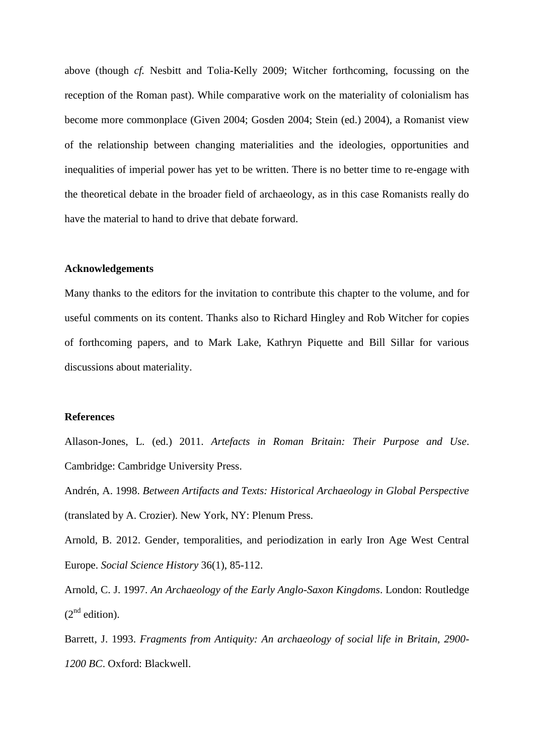above (though *cf.* Nesbitt and Tolia-Kelly 2009; Witcher forthcoming, focussing on the reception of the Roman past). While comparative work on the materiality of colonialism has become more commonplace (Given 2004; Gosden 2004; Stein (ed.) 2004), a Romanist view of the relationship between changing materialities and the ideologies, opportunities and inequalities of imperial power has yet to be written. There is no better time to re-engage with the theoretical debate in the broader field of archaeology, as in this case Romanists really do have the material to hand to drive that debate forward.

### **Acknowledgements**

Many thanks to the editors for the invitation to contribute this chapter to the volume, and for useful comments on its content. Thanks also to Richard Hingley and Rob Witcher for copies of forthcoming papers, and to Mark Lake, Kathryn Piquette and Bill Sillar for various discussions about materiality.

### **References**

Allason-Jones, L. (ed.) 2011. *Artefacts in Roman Britain: Their Purpose and Use*. Cambridge: Cambridge University Press.

Andrén, A. 1998. *Between Artifacts and Texts: Historical Archaeology in Global Perspective* (translated by A. Crozier). New York, NY: Plenum Press.

Arnold, B. 2012. Gender, temporalities, and periodization in early Iron Age West Central Europe. *Social Science History* 36(1), 85-112.

Arnold, C. J. 1997. *An Archaeology of the Early Anglo-Saxon Kingdoms*. London: Routledge  $(2^{nd}$  edition).

Barrett, J. 1993. *Fragments from Antiquity: An archaeology of social life in Britain, 2900- 1200 BC*. Oxford: Blackwell.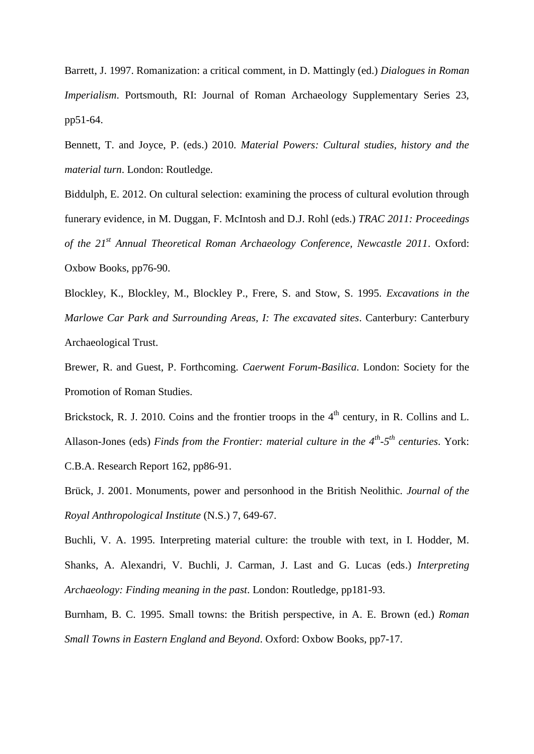Barrett, J. 1997. Romanization: a critical comment, in D. Mattingly (ed.) *Dialogues in Roman Imperialism.* Portsmouth, RI: Journal of Roman Archaeology Supplementary Series 23, pp51-64.

Bennett, T. and Joyce, P. (eds.) 2010. *Material Powers: Cultural studies, history and the material turn*. London: Routledge.

Biddulph, E. 2012. On cultural selection: examining the process of cultural evolution through funerary evidence, in M. Duggan, F. McIntosh and D.J. Rohl (eds.) *TRAC 2011: Proceedings of the 21st Annual Theoretical Roman Archaeology Conference, Newcastle 2011*. Oxford: Oxbow Books, pp76-90.

Blockley, K., Blockley, M., Blockley P., Frere, S. and Stow, S. 1995. *Excavations in the Marlowe Car Park and Surrounding Areas, I: The excavated sites*. Canterbury: Canterbury Archaeological Trust.

Brewer, R. and Guest, P. Forthcoming. *Caerwent Forum-Basilica*. London: Society for the Promotion of Roman Studies.

Brickstock, R. J. 2010. Coins and the frontier troops in the  $4<sup>th</sup>$  century, in R. Collins and L. Allason-Jones (eds) *Finds from the Frontier: material culture in the 4<sup>th</sup>-5<sup>th</sup> centuries. York:* C.B.A. Research Report 162, pp86-91.

Brück, J. 2001. Monuments, power and personhood in the British Neolithic. *Journal of the Royal Anthropological Institute* (N.S.) 7, 649-67.

Buchli, V. A. 1995. Interpreting material culture: the trouble with text, in I. Hodder, M. Shanks, A. Alexandri, V. Buchli, J. Carman, J. Last and G. Lucas (eds.) *Interpreting Archaeology: Finding meaning in the past*. London: Routledge, pp181-93.

Burnham, B. C. 1995. Small towns: the British perspective, in A. E. Brown (ed.) *Roman Small Towns in Eastern England and Beyond*. Oxford: Oxbow Books, pp7-17.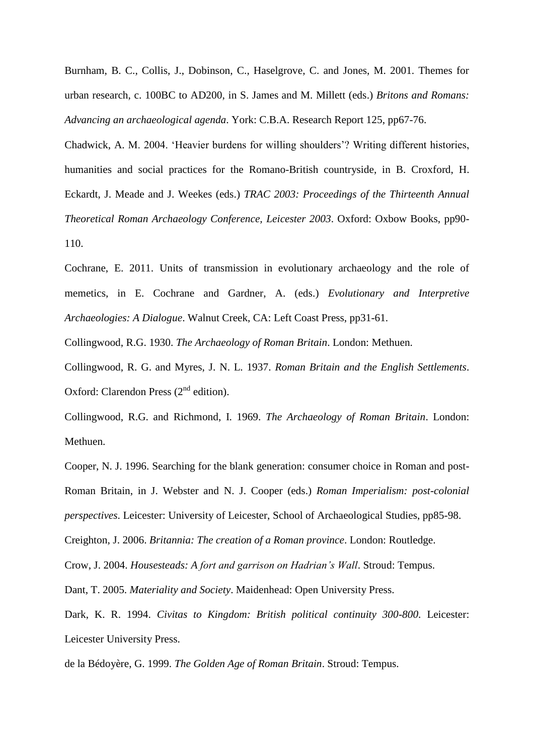Burnham, B. C., Collis, J., Dobinson, C., Haselgrove, C. and Jones, M. 2001. Themes for urban research, c. 100BC to AD200, in S. James and M. Millett (eds.) *Britons and Romans: Advancing an archaeological agenda*. York: C.B.A. Research Report 125, pp67-76.

Chadwick, A. M. 2004. 'Heavier burdens for willing shoulders'? Writing different histories, humanities and social practices for the Romano-British countryside, in B. Croxford, H. Eckardt, J. Meade and J. Weekes (eds.) *TRAC 2003: Proceedings of the Thirteenth Annual Theoretical Roman Archaeology Conference, Leicester 2003*. Oxford: Oxbow Books, pp90- 110.

Cochrane, E. 2011. Units of transmission in evolutionary archaeology and the role of memetics, in E. Cochrane and Gardner, A. (eds.) *Evolutionary and Interpretive Archaeologies: A Dialogue*. Walnut Creek, CA: Left Coast Press, pp31-61.

Collingwood, R.G. 1930. *The Archaeology of Roman Britain*. London: Methuen.

Collingwood, R. G. and Myres, J. N. L. 1937. *Roman Britain and the English Settlements*. Oxford: Clarendon Press  $(2<sup>nd</sup>$  edition).

Collingwood, R.G. and Richmond, I. 1969. *The Archaeology of Roman Britain*. London: Methuen.

Cooper, N. J. 1996. Searching for the blank generation: consumer choice in Roman and post-Roman Britain, in J. Webster and N. J. Cooper (eds.) *Roman Imperialism: post-colonial perspectives*. Leicester: University of Leicester, School of Archaeological Studies, pp85-98.

Creighton, J. 2006. *Britannia: The creation of a Roman province*. London: Routledge.

Crow, J. 2004. *Housesteads: A fort and garrison on Hadrian's Wall*. Stroud: Tempus.

Dant, T. 2005. *Materiality and Society*. Maidenhead: Open University Press.

Dark, K. R. 1994. *Civitas to Kingdom: British political continuity 300-800*. Leicester: Leicester University Press.

de la Bédoyère, G. 1999. *The Golden Age of Roman Britain*. Stroud: Tempus.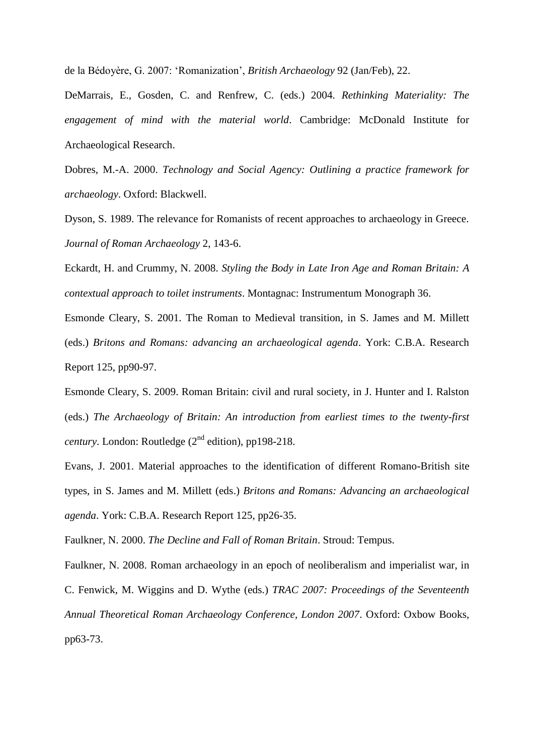de la Bédoyère, G. 2007: 'Romanization', *British Archaeology* 92 (Jan/Feb), 22.

DeMarrais, E., Gosden, C. and Renfrew, C. (eds.) 2004. *Rethinking Materiality: The engagement of mind with the material world*. Cambridge: McDonald Institute for Archaeological Research.

Dobres, M.-A. 2000. *Technology and Social Agency: Outlining a practice framework for archaeology*. Oxford: Blackwell.

Dyson, S. 1989. The relevance for Romanists of recent approaches to archaeology in Greece. *Journal of Roman Archaeology* 2, 143-6.

Eckardt, H. and Crummy, N. 2008. *Styling the Body in Late Iron Age and Roman Britain: A contextual approach to toilet instruments*. Montagnac: Instrumentum Monograph 36.

Esmonde Cleary, S. 2001. The Roman to Medieval transition, in S. James and M. Millett (eds.) *Britons and Romans: advancing an archaeological agenda*. York: C.B.A. Research Report 125, pp90-97.

Esmonde Cleary, S. 2009. Roman Britain: civil and rural society, in J. Hunter and I. Ralston (eds.) *The Archaeology of Britain: An introduction from earliest times to the twenty-first century*. London: Routledge  $(2<sup>nd</sup>$  edition), pp198-218.

Evans, J. 2001. Material approaches to the identification of different Romano-British site types, in S. James and M. Millett (eds.) *Britons and Romans: Advancing an archaeological agenda*. York: C.B.A. Research Report 125, pp26-35.

Faulkner, N. 2000. *The Decline and Fall of Roman Britain*. Stroud: Tempus.

Faulkner, N. 2008. Roman archaeology in an epoch of neoliberalism and imperialist war, in C. Fenwick, M. Wiggins and D. Wythe (eds.) *TRAC 2007: Proceedings of the Seventeenth Annual Theoretical Roman Archaeology Conference, London 2007*. Oxford: Oxbow Books, pp63-73.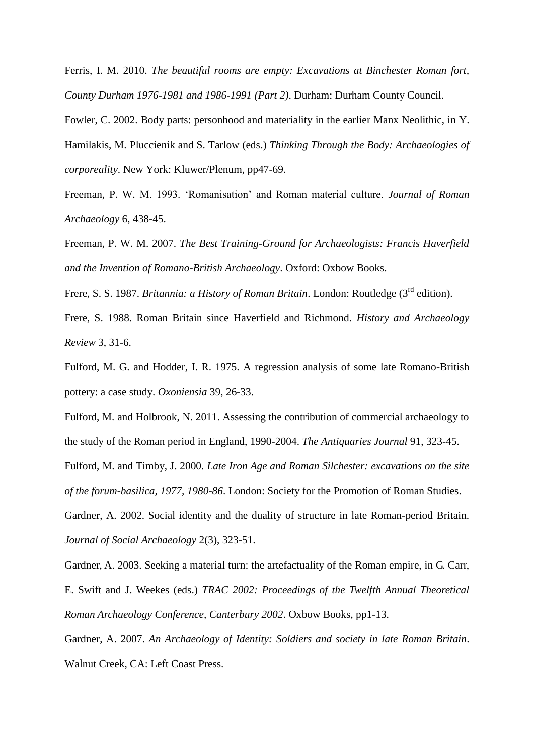Ferris, I. M. 2010. *The beautiful rooms are empty: Excavations at Binchester Roman fort, County Durham 1976-1981 and 1986-1991 (Part 2)*. Durham: Durham County Council.

Fowler, C. 2002. Body parts: personhood and materiality in the earlier Manx Neolithic, in Y. Hamilakis, M. Pluccienik and S. Tarlow (eds.) *Thinking Through the Body: Archaeologies of corporeality*. New York: Kluwer/Plenum, pp47-69.

Freeman, P. W. M. 1993. 'Romanisation' and Roman material culture. *Journal of Roman Archaeology* 6, 438-45.

Freeman, P. W. M. 2007. *The Best Training-Ground for Archaeologists: Francis Haverfield and the Invention of Romano-British Archaeology*. Oxford: Oxbow Books.

Frere, S. S. 1987. *Britannia: a History of Roman Britain*. London: Routledge (3<sup>rd</sup> edition).

Frere, S. 1988. Roman Britain since Haverfield and Richmond. *History and Archaeology Review* 3, 31-6.

Fulford, M. G. and Hodder, I. R. 1975. A regression analysis of some late Romano-British pottery: a case study. *Oxoniensia* 39, 26-33.

Fulford, M. and Holbrook, N. 2011. Assessing the contribution of commercial archaeology to the study of the Roman period in England, 1990-2004. *The Antiquaries Journal* 91, 323-45.

Fulford, M. and Timby, J. 2000. *Late Iron Age and Roman Silchester: excavations on the site of the forum-basilica, 1977, 1980-86*. London: Society for the Promotion of Roman Studies.

Gardner, A. 2002. Social identity and the duality of structure in late Roman-period Britain. *Journal of Social Archaeology* 2(3), 323-51.

Gardner, A. 2003. Seeking a material turn: the artefactuality of the Roman empire, in G. Carr, E. Swift and J. Weekes (eds.) *TRAC 2002: Proceedings of the Twelfth Annual Theoretical Roman Archaeology Conference, Canterbury 2002*. Oxbow Books, pp1-13.

Gardner, A. 2007. *An Archaeology of Identity: Soldiers and society in late Roman Britain*. Walnut Creek, CA: Left Coast Press.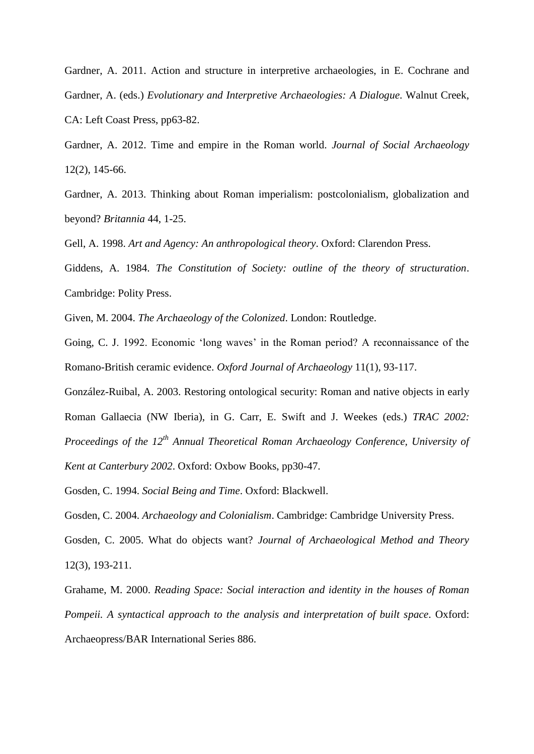Gardner, A. 2011. Action and structure in interpretive archaeologies, in E. Cochrane and Gardner, A. (eds.) *Evolutionary and Interpretive Archaeologies: A Dialogue*. Walnut Creek, CA: Left Coast Press, pp63-82.

Gardner, A. 2012. Time and empire in the Roman world. *Journal of Social Archaeology* 12(2), 145-66.

Gardner, A. 2013. Thinking about Roman imperialism: postcolonialism, globalization and beyond? *Britannia* 44, 1-25.

Gell, A. 1998. *Art and Agency: An anthropological theory*. Oxford: Clarendon Press.

Giddens, A. 1984. *The Constitution of Society: outline of the theory of structuration*. Cambridge: Polity Press.

Given, M. 2004. *The Archaeology of the Colonized*. London: Routledge.

Going, C. J. 1992. Economic 'long waves' in the Roman period? A reconnaissance of the Romano-British ceramic evidence. *Oxford Journal of Archaeology* 11(1), 93-117.

González-Ruibal, A. 2003. Restoring ontological security: Roman and native objects in early Roman Gallaecia (NW Iberia), in G. Carr, E. Swift and J. Weekes (eds.) *TRAC 2002: Proceedings of the 12th Annual Theoretical Roman Archaeology Conference, University of Kent at Canterbury 2002*. Oxford: Oxbow Books, pp30-47.

Gosden, C. 1994. *Social Being and Time*. Oxford: Blackwell.

Gosden, C. 2004. *Archaeology and Colonialism*. Cambridge: Cambridge University Press.

Gosden, C. 2005. What do objects want? *Journal of Archaeological Method and Theory* 12(3), 193-211.

Grahame, M. 2000. *Reading Space: Social interaction and identity in the houses of Roman Pompeii. A syntactical approach to the analysis and interpretation of built space*. Oxford: Archaeopress/BAR International Series 886.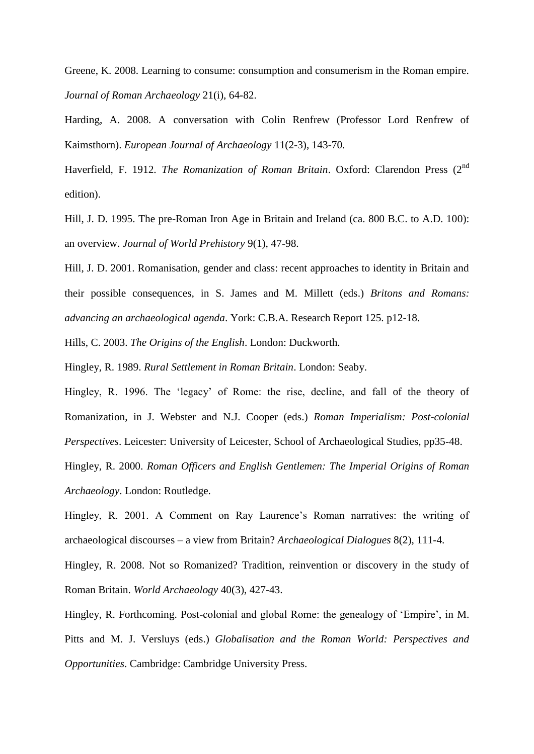Greene, K. 2008. Learning to consume: consumption and consumerism in the Roman empire. *Journal of Roman Archaeology* 21(i), 64-82.

Harding, A. 2008. A conversation with Colin Renfrew (Professor Lord Renfrew of Kaimsthorn). *European Journal of Archaeology* 11(2-3), 143-70.

Haverfield, F. 1912. *The Romanization of Roman Britain*. Oxford: Clarendon Press (2nd edition).

Hill, J. D. 1995. The pre-Roman Iron Age in Britain and Ireland (ca. 800 B.C. to A.D. 100): an overview. *Journal of World Prehistory* 9(1), 47-98.

Hill, J. D. 2001. Romanisation, gender and class: recent approaches to identity in Britain and their possible consequences, in S. James and M. Millett (eds.) *Britons and Romans: advancing an archaeological agenda*. York: C.B.A. Research Report 125. p12-18.

Hills, C. 2003. *The Origins of the English*. London: Duckworth.

Hingley, R. 1989. *Rural Settlement in Roman Britain*. London: Seaby.

Hingley, R. 1996. The 'legacy' of Rome: the rise, decline, and fall of the theory of Romanization, in J. Webster and N.J. Cooper (eds.) *Roman Imperialism: Post-colonial Perspectives*. Leicester: University of Leicester, School of Archaeological Studies, pp35-48.

Hingley, R. 2000. *Roman Officers and English Gentlemen: The Imperial Origins of Roman Archaeology*. London: Routledge.

Hingley, R. 2001. A Comment on Ray Laurence's Roman narratives: the writing of archaeological discourses – a view from Britain? *Archaeological Dialogues* 8(2), 111-4.

Hingley, R. 2008. Not so Romanized? Tradition, reinvention or discovery in the study of Roman Britain. *World Archaeology* 40(3), 427-43.

Hingley, R. Forthcoming. Post-colonial and global Rome: the genealogy of 'Empire', in M. Pitts and M. J. Versluys (eds.) *Globalisation and the Roman World: Perspectives and Opportunities*. Cambridge: Cambridge University Press.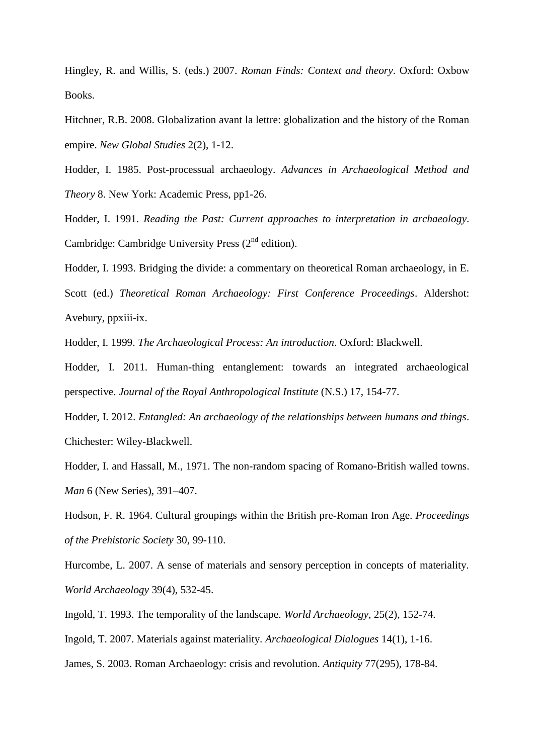Hingley, R. and Willis, S. (eds.) 2007. *Roman Finds: Context and theory*. Oxford: Oxbow Books.

Hitchner, R.B. 2008. Globalization avant la lettre: globalization and the history of the Roman empire. *New Global Studies* 2(2), 1-12.

Hodder, I. 1985. Post-processual archaeology. *Advances in Archaeological Method and Theory* 8. New York: Academic Press, pp1-26.

Hodder, I. 1991. *Reading the Past: Current approaches to interpretation in archaeology*. Cambridge: Cambridge University Press  $(2<sup>nd</sup> edition)$ .

Hodder, I. 1993. Bridging the divide: a commentary on theoretical Roman archaeology, in E. Scott (ed.) *Theoretical Roman Archaeology: First Conference Proceedings*. Aldershot: Avebury, ppxiii-ix.

Hodder, I. 1999. *The Archaeological Process: An introduction*. Oxford: Blackwell.

Hodder, I. 2011. Human-thing entanglement: towards an integrated archaeological perspective. *Journal of the Royal Anthropological Institute* (N.S.) 17, 154-77.

Hodder, I. 2012. *Entangled: An archaeology of the relationships between humans and things*. Chichester: Wiley-Blackwell.

Hodder, I. and Hassall, M., 1971. The non-random spacing of Romano-British walled towns. *Man* 6 (New Series), 391–407.

Hodson, F. R. 1964. Cultural groupings within the British pre-Roman Iron Age. *Proceedings of the Prehistoric Society* 30, 99-110.

Hurcombe, L. 2007. A sense of materials and sensory perception in concepts of materiality. *World Archaeology* 39(4), 532-45.

Ingold, T. 1993. The temporality of the landscape. *World Archaeology*, 25(2), 152-74.

Ingold, T. 2007. Materials against materiality. *Archaeological Dialogues* 14(1), 1-16.

James, S. 2003. Roman Archaeology: crisis and revolution. *Antiquity* 77(295), 178-84.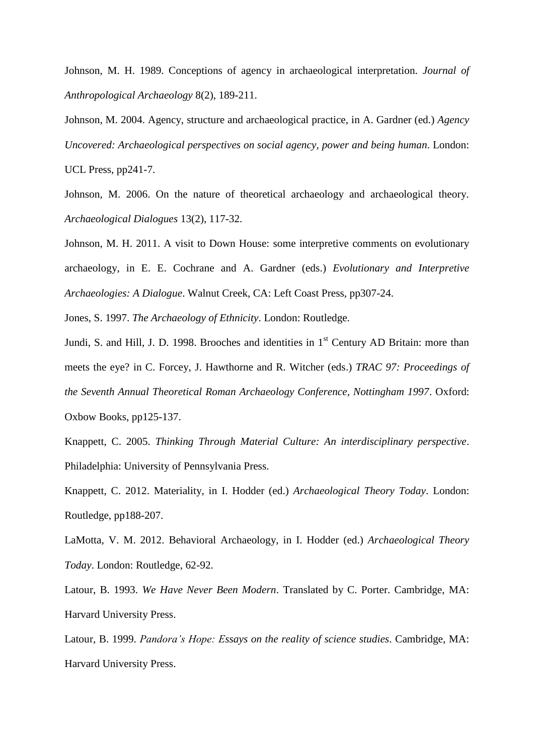Johnson, M. H. 1989. Conceptions of agency in archaeological interpretation. *Journal of Anthropological Archaeology* 8(2), 189-211.

Johnson, M. 2004. Agency, structure and archaeological practice, in A. Gardner (ed.) *Agency Uncovered: Archaeological perspectives on social agency, power and being human*. London: UCL Press, pp241-7.

Johnson, M. 2006. On the nature of theoretical archaeology and archaeological theory. *Archaeological Dialogues* 13(2), 117-32.

Johnson, M. H. 2011. A visit to Down House: some interpretive comments on evolutionary archaeology, in E. E. Cochrane and A. Gardner (eds.) *Evolutionary and Interpretive Archaeologies: A Dialogue*. Walnut Creek, CA: Left Coast Press, pp307-24.

Jones, S. 1997. *The Archaeology of Ethnicity*. London: Routledge.

Jundi, S. and Hill, J. D. 1998. Brooches and identities in  $1<sup>st</sup>$  Century AD Britain: more than meets the eye? in C. Forcey, J. Hawthorne and R. Witcher (eds.) *TRAC 97: Proceedings of the Seventh Annual Theoretical Roman Archaeology Conference, Nottingham 1997*. Oxford: Oxbow Books, pp125-137.

Knappett, C. 2005. *Thinking Through Material Culture: An interdisciplinary perspective*. Philadelphia: University of Pennsylvania Press.

Knappett, C. 2012. Materiality, in I. Hodder (ed.) *Archaeological Theory Today*. London: Routledge, pp188-207.

LaMotta, V. M. 2012. Behavioral Archaeology, in I. Hodder (ed.) *Archaeological Theory Today*. London: Routledge, 62-92.

Latour, B. 1993. *We Have Never Been Modern*. Translated by C. Porter. Cambridge, MA: Harvard University Press.

Latour, B. 1999. *Pandora's Hope: Essays on the reality of science studies*. Cambridge, MA: Harvard University Press.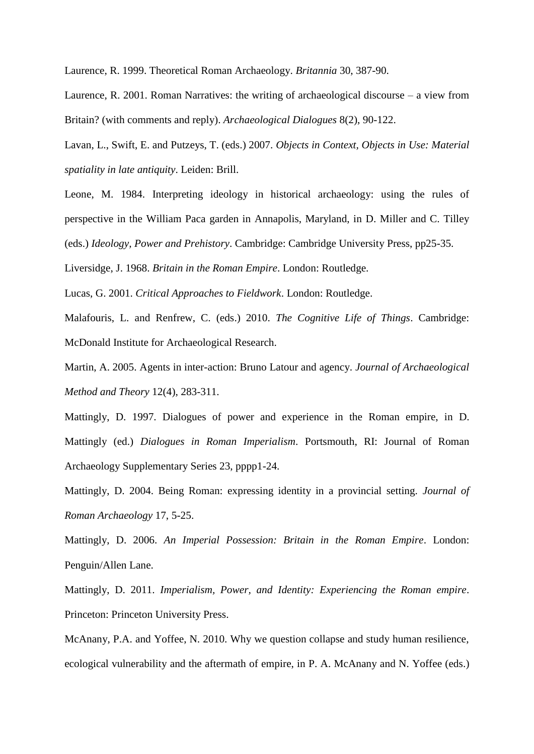Laurence, R. 1999. Theoretical Roman Archaeology. *Britannia* 30, 387-90.

Laurence, R. 2001. Roman Narratives: the writing of archaeological discourse – a view from Britain? (with comments and reply). *Archaeological Dialogues* 8(2), 90-122.

Lavan, L., Swift, E. and Putzeys, T. (eds.) 2007. *Objects in Context, Objects in Use: Material spatiality in late antiquity*. Leiden: Brill.

Leone, M. 1984. Interpreting ideology in historical archaeology: using the rules of perspective in the William Paca garden in Annapolis, Maryland, in D. Miller and C. Tilley (eds.) *Ideology, Power and Prehistory*. Cambridge: Cambridge University Press, pp25-35.

Liversidge, J. 1968. *Britain in the Roman Empire*. London: Routledge.

Lucas, G. 2001. *Critical Approaches to Fieldwork*. London: Routledge.

Malafouris, L. and Renfrew, C. (eds.) 2010. *The Cognitive Life of Things*. Cambridge: McDonald Institute for Archaeological Research.

Martin, A. 2005. Agents in inter-action: Bruno Latour and agency. *Journal of Archaeological Method and Theory* 12(4), 283-311.

Mattingly, D. 1997. Dialogues of power and experience in the Roman empire, in D. Mattingly (ed.) *Dialogues in Roman Imperialism*. Portsmouth, RI: Journal of Roman Archaeology Supplementary Series 23, pppp1-24.

Mattingly, D. 2004. Being Roman: expressing identity in a provincial setting. *Journal of Roman Archaeology* 17, 5-25.

Mattingly, D. 2006. *An Imperial Possession: Britain in the Roman Empire*. London: Penguin/Allen Lane.

Mattingly, D. 2011. *Imperialism, Power, and Identity: Experiencing the Roman empire*. Princeton: Princeton University Press.

McAnany, P.A. and Yoffee, N. 2010. Why we question collapse and study human resilience, ecological vulnerability and the aftermath of empire, in P. A. McAnany and N. Yoffee (eds.)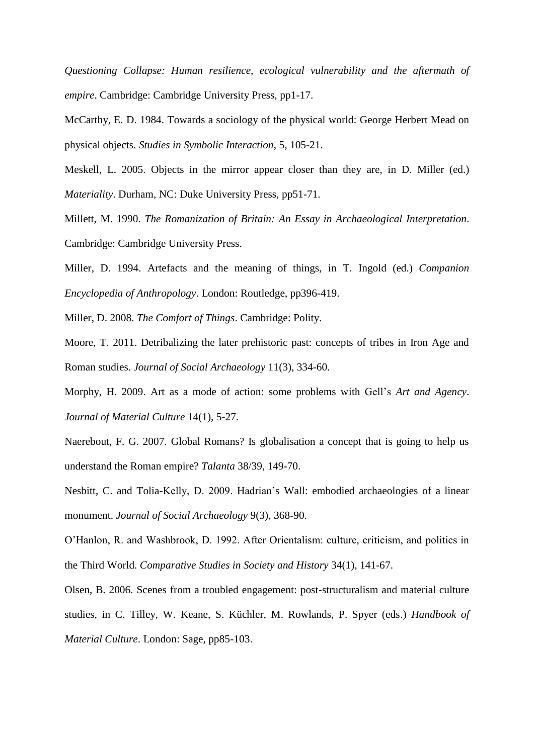*Questioning Collapse: Human resilience, ecological vulnerability and the aftermath of empire*. Cambridge: Cambridge University Press, pp1-17.

McCarthy, E. D. 1984. Towards a sociology of the physical world: George Herbert Mead on physical objects. *Studies in Symbolic Interaction*, 5, 105-21.

Meskell, L. 2005. Objects in the mirror appear closer than they are, in D. Miller (ed.) *Materiality*. Durham, NC: Duke University Press, pp51-71.

Millett, M. 1990. *The Romanization of Britain: An Essay in Archaeological Interpretation*. Cambridge: Cambridge University Press.

Miller, D. 1994. Artefacts and the meaning of things, in T. Ingold (ed.) *Companion Encyclopedia of Anthropology*. London: Routledge, pp396-419.

Miller, D. 2008. *The Comfort of Things*. Cambridge: Polity.

Moore, T. 2011. Detribalizing the later prehistoric past: concepts of tribes in Iron Age and Roman studies. *Journal of Social Archaeology* 11(3), 334-60.

Morphy, H. 2009. Art as a mode of action: some problems with Gell's *Art and Agency*. *Journal of Material Culture* 14(1), 5-27.

Naerebout, F. G. 2007. Global Romans? Is globalisation a concept that is going to help us understand the Roman empire? *Talanta* 38/39, 149-70.

Nesbitt, C. and Tolia-Kelly, D. 2009. Hadrian's Wall: embodied archaeologies of a linear monument. *Journal of Social Archaeology* 9(3), 368-90.

O'Hanlon, R. and Washbrook, D. 1992. After Orientalism: culture, criticism, and politics in the Third World. *Comparative Studies in Society and History* 34(1), 141-67.

Olsen, B. 2006. Scenes from a troubled engagement: post-structuralism and material culture studies, in C. Tilley, W. Keane, S. Küchler, M. Rowlands, P. Spyer (eds.) *Handbook of Material Culture*. London: Sage, pp85-103.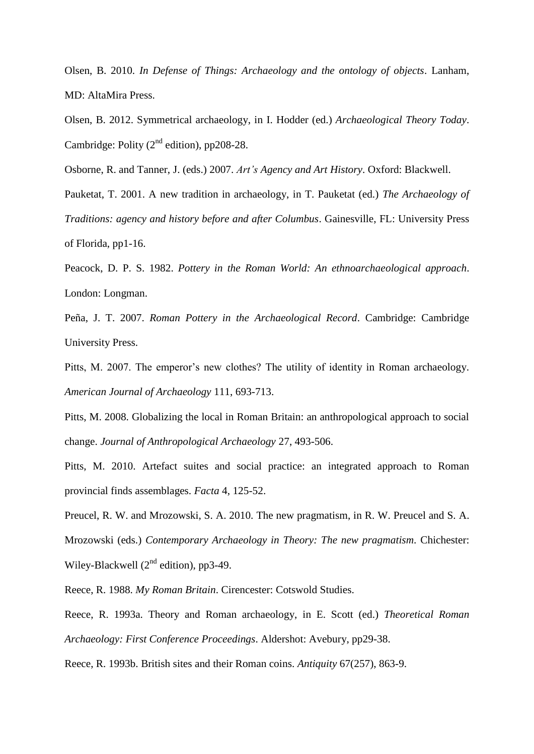Olsen, B. 2010. *In Defense of Things: Archaeology and the ontology of objects*. Lanham, MD: AltaMira Press.

Olsen, B. 2012. Symmetrical archaeology, in I. Hodder (ed.) *Archaeological Theory Today*. Cambridge: Polity  $(2^{nd}$  edition), pp208-28.

Osborne, R. and Tanner, J. (eds.) 2007. *Art's Agency and Art History*. Oxford: Blackwell.

Pauketat, T. 2001. A new tradition in archaeology, in T. Pauketat (ed.) *The Archaeology of Traditions: agency and history before and after Columbus*. Gainesville, FL: University Press of Florida, pp1-16.

Peacock, D. P. S. 1982. *Pottery in the Roman World: An ethnoarchaeological approach*. London: Longman.

Peña, J. T. 2007. *Roman Pottery in the Archaeological Record*. Cambridge: Cambridge University Press.

Pitts, M. 2007. The emperor's new clothes? The utility of identity in Roman archaeology. *American Journal of Archaeology* 111, 693-713.

Pitts, M. 2008. Globalizing the local in Roman Britain: an anthropological approach to social change. *Journal of Anthropological Archaeology* 27, 493-506.

Pitts, M. 2010. Artefact suites and social practice: an integrated approach to Roman provincial finds assemblages. *Facta* 4, 125-52.

Preucel, R. W. and Mrozowski, S. A. 2010. The new pragmatism, in R. W. Preucel and S. A. Mrozowski (eds.) *Contemporary Archaeology in Theory: The new pragmatism*. Chichester: Wiley-Blackwell  $(2^{nd}$  edition), pp3-49.

Reece, R. 1988. *My Roman Britain*. Cirencester: Cotswold Studies.

Reece, R. 1993a. Theory and Roman archaeology, in E. Scott (ed.) *Theoretical Roman Archaeology: First Conference Proceedings*. Aldershot: Avebury, pp29-38.

Reece, R. 1993b. British sites and their Roman coins. *Antiquity* 67(257), 863-9.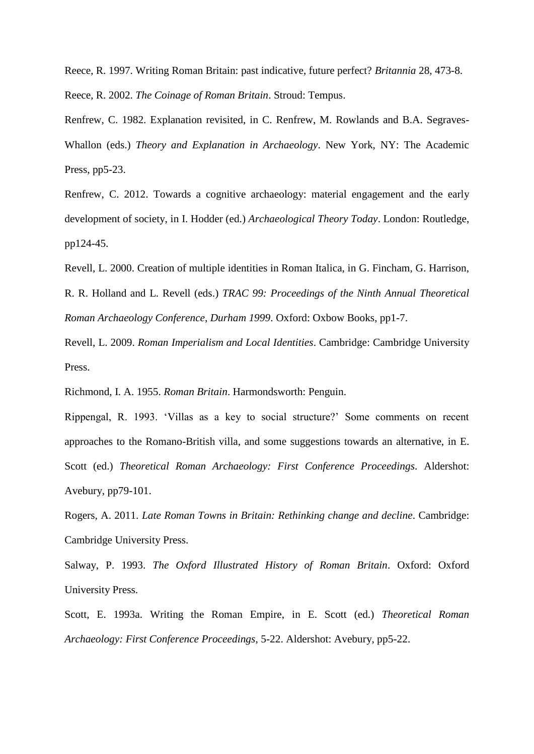Reece, R. 1997. Writing Roman Britain: past indicative, future perfect? *Britannia* 28, 473-8. Reece, R. 2002. *The Coinage of Roman Britain*. Stroud: Tempus.

Renfrew, C. 1982. Explanation revisited, in C. Renfrew, M. Rowlands and B.A. Segraves-Whallon (eds.) *Theory and Explanation in Archaeology*. New York, NY: The Academic Press, pp5-23.

Renfrew, C. 2012. Towards a cognitive archaeology: material engagement and the early development of society, in I. Hodder (ed.) *Archaeological Theory Today*. London: Routledge, pp124-45.

Revell, L. 2000. Creation of multiple identities in Roman Italica, in G. Fincham, G. Harrison, R. R. Holland and L. Revell (eds.) *TRAC 99: Proceedings of the Ninth Annual Theoretical* 

*Roman Archaeology Conference, Durham 1999*. Oxford: Oxbow Books, pp1-7.

Revell, L. 2009. *Roman Imperialism and Local Identities*. Cambridge: Cambridge University Press.

Richmond, I. A. 1955. *Roman Britain*. Harmondsworth: Penguin.

Rippengal, R. 1993. 'Villas as a key to social structure?' Some comments on recent approaches to the Romano-British villa, and some suggestions towards an alternative, in E. Scott (ed.) *Theoretical Roman Archaeology: First Conference Proceedings*. Aldershot: Avebury, pp79-101.

Rogers, A. 2011. *Late Roman Towns in Britain: Rethinking change and decline*. Cambridge: Cambridge University Press.

Salway, P. 1993. *The Oxford Illustrated History of Roman Britain*. Oxford: Oxford University Press.

Scott, E. 1993a. Writing the Roman Empire, in E. Scott (ed.) *Theoretical Roman Archaeology: First Conference Proceedings*, 5-22. Aldershot: Avebury, pp5-22.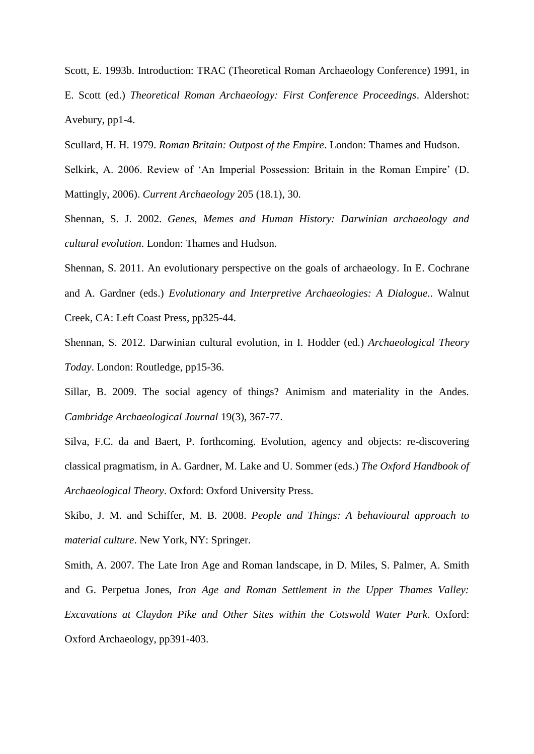Scott, E. 1993b. Introduction: TRAC (Theoretical Roman Archaeology Conference) 1991, in E. Scott (ed.) *Theoretical Roman Archaeology: First Conference Proceedings*. Aldershot: Avebury, pp1-4.

Scullard, H. H. 1979. *Roman Britain: Outpost of the Empire*. London: Thames and Hudson.

Selkirk, A. 2006. Review of 'An Imperial Possession: Britain in the Roman Empire' (D. Mattingly, 2006). *Current Archaeology* 205 (18.1), 30.

Shennan, S. J. 2002. *Genes, Memes and Human History: Darwinian archaeology and cultural evolution*. London: Thames and Hudson.

Shennan, S. 2011. An evolutionary perspective on the goals of archaeology. In E. Cochrane and A. Gardner (eds.) *Evolutionary and Interpretive Archaeologies: A Dialogue.*. Walnut Creek, CA: Left Coast Press, pp325-44.

Shennan, S. 2012. Darwinian cultural evolution, in I. Hodder (ed.) *Archaeological Theory Today*. London: Routledge, pp15-36.

Sillar, B. 2009. The social agency of things? Animism and materiality in the Andes. *Cambridge Archaeological Journal* 19(3), 367-77.

Silva, F.C. da and Baert, P. forthcoming. Evolution, agency and objects: re-discovering classical pragmatism, in A. Gardner, M. Lake and U. Sommer (eds.) *The Oxford Handbook of Archaeological Theory*. Oxford: Oxford University Press.

Skibo, J. M. and Schiffer, M. B. 2008. *People and Things: A behavioural approach to material culture*. New York, NY: Springer.

Smith, A. 2007. The Late Iron Age and Roman landscape, in D. Miles, S. Palmer, A. Smith and G. Perpetua Jones, *Iron Age and Roman Settlement in the Upper Thames Valley: Excavations at Claydon Pike and Other Sites within the Cotswold Water Park*. Oxford: Oxford Archaeology, pp391-403.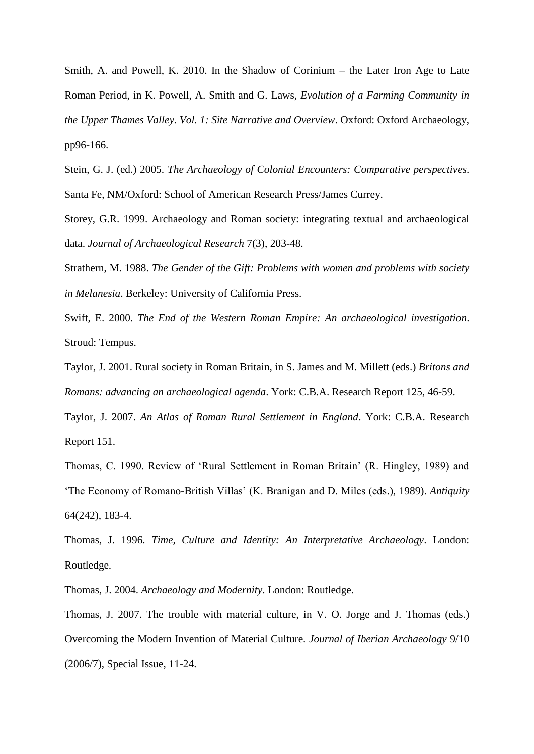Smith, A. and Powell, K. 2010. In the Shadow of Corinium – the Later Iron Age to Late Roman Period, in K. Powell, A. Smith and G. Laws, *Evolution of a Farming Community in the Upper Thames Valley. Vol. 1: Site Narrative and Overview*. Oxford: Oxford Archaeology, pp96-166.

Stein, G. J. (ed.) 2005. *The Archaeology of Colonial Encounters: Comparative perspectives*. Santa Fe, NM/Oxford: School of American Research Press/James Currey.

Storey, G.R. 1999. Archaeology and Roman society: integrating textual and archaeological data. *Journal of Archaeological Research* 7(3), 203-48.

Strathern, M. 1988. *The Gender of the Gift: Problems with women and problems with society in Melanesia*. Berkeley: University of California Press.

Swift, E. 2000. *The End of the Western Roman Empire: An archaeological investigation*. Stroud: Tempus.

Taylor, J. 2001. Rural society in Roman Britain, in S. James and M. Millett (eds.) *Britons and Romans: advancing an archaeological agenda*. York: C.B.A. Research Report 125, 46-59.

Taylor, J. 2007. *An Atlas of Roman Rural Settlement in England*. York: C.B.A. Research Report 151.

Thomas, C. 1990. Review of 'Rural Settlement in Roman Britain' (R. Hingley, 1989) and 'The Economy of Romano-British Villas' (K. Branigan and D. Miles (eds.), 1989). *Antiquity* 64(242), 183-4.

Thomas, J. 1996. *Time, Culture and Identity: An Interpretative Archaeology*. London: Routledge.

Thomas, J. 2004. *Archaeology and Modernity*. London: Routledge.

Thomas, J. 2007. The trouble with material culture, in V. O. Jorge and J. Thomas (eds.) Overcoming the Modern Invention of Material Culture. *Journal of Iberian Archaeology* 9/10 (2006/7), Special Issue, 11-24.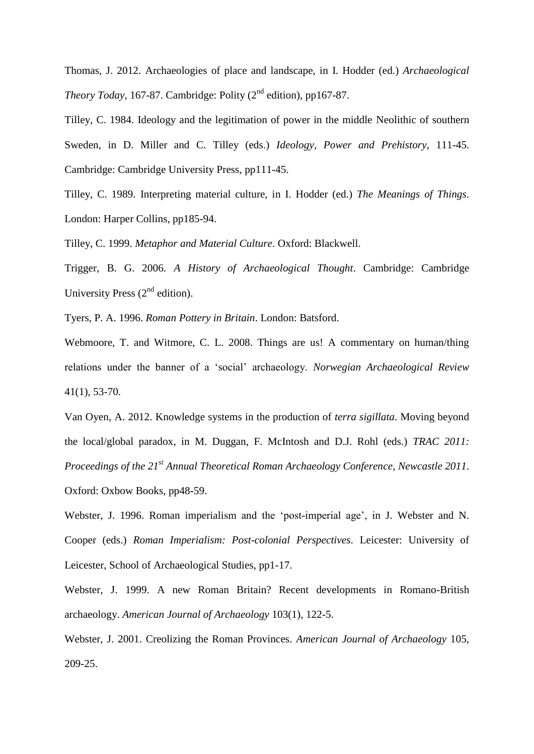Thomas, J. 2012. Archaeologies of place and landscape, in I. Hodder (ed.) *Archaeological Theory Today, 167-87.* Cambridge: Polity (2<sup>nd</sup> edition), pp167-87.

Tilley, C. 1984. Ideology and the legitimation of power in the middle Neolithic of southern Sweden, in D. Miller and C. Tilley (eds.) *Ideology, Power and Prehistory*, 111-45. Cambridge: Cambridge University Press, pp111-45.

Tilley, C. 1989. Interpreting material culture, in I. Hodder (ed.) *The Meanings of Things*. London: Harper Collins, pp185-94.

Tilley, C. 1999. *Metaphor and Material Culture*. Oxford: Blackwell.

Trigger, B. G. 2006. *A History of Archaeological Thought*. Cambridge: Cambridge University Press  $(2<sup>nd</sup>$  edition).

Tyers, P. A. 1996. *Roman Pottery in Britain*. London: Batsford.

Webmoore, T. and Witmore, C. L. 2008. Things are us! A commentary on human/thing relations under the banner of a 'social' archaeology. *Norwegian Archaeological Review* 41(1), 53-70.

Van Oyen, A. 2012. Knowledge systems in the production of *terra sigillata*. Moving beyond the local/global paradox, in M. Duggan, F. McIntosh and D.J. Rohl (eds.) *TRAC 2011: Proceedings of the 21st Annual Theoretical Roman Archaeology Conference, Newcastle 2011*. Oxford: Oxbow Books, pp48-59.

Webster, J. 1996. Roman imperialism and the 'post-imperial age', in J. Webster and N. Cooper (eds.) *Roman Imperialism: Post-colonial Perspectives*. Leicester: University of Leicester, School of Archaeological Studies, pp1-17.

Webster, J. 1999. A new Roman Britain? Recent developments in Romano-British archaeology. *American Journal of Archaeology* 103(1), 122-5.

Webster, J. 2001. Creolizing the Roman Provinces. *American Journal of Archaeology* 105, 209-25.